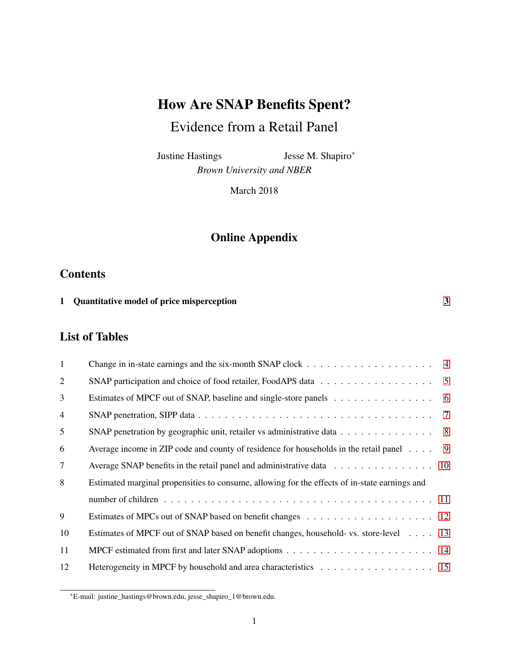# How Are SNAP Benefits Spent?

# Evidence from a Retail Panel

Justine Hastings Jesse M. Shapiro<sup>∗</sup> *Brown University and NBER*

March 2018

## Online Appendix

#### **Contents**

| 1 Quantitative model of price misperception |
|---------------------------------------------|
|                                             |

### List of Tables

| $\mathbf{1}$ |                                                                                                               |                |
|--------------|---------------------------------------------------------------------------------------------------------------|----------------|
| 2            |                                                                                                               | $5\phantom{0}$ |
| 3            |                                                                                                               |                |
| 4            |                                                                                                               |                |
| 5            | SNAP penetration by geographic unit, retailer vs administrative data 8                                        |                |
| 6            | Average income in ZIP code and county of residence for households in the retail panel $\dots$ .               | - 9            |
| 7            | Average SNAP benefits in the retail panel and administrative data $\dots \dots \dots \dots \dots \dots \dots$ |                |
| 8            | Estimated marginal propensities to consume, allowing for the effects of in-state earnings and                 |                |
|              |                                                                                                               |                |
| 9            |                                                                                                               |                |
| 10           | Estimates of MPCF out of SNAP based on benefit changes, household- vs. store-level 13                         |                |
| 11           |                                                                                                               |                |
| 12           | Heterogeneity in MPCF by household and area characteristics 15                                                |                |

<sup>∗</sup>E-mail: justine\_hastings@brown.edu, jesse\_shapiro\_1@brown.edu.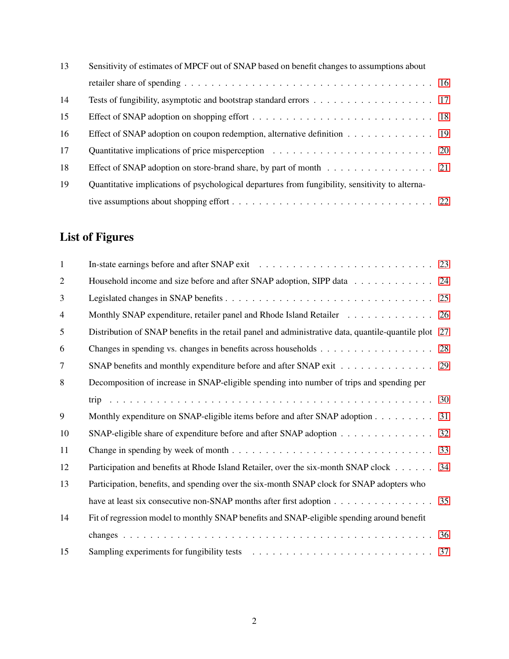| 13 | Sensitivity of estimates of MPCF out of SNAP based on benefit changes to assumptions about      |  |  |  |
|----|-------------------------------------------------------------------------------------------------|--|--|--|
|    |                                                                                                 |  |  |  |
| 14 |                                                                                                 |  |  |  |
| 15 |                                                                                                 |  |  |  |
| 16 | Effect of SNAP adoption on coupon redemption, alternative definition 19                         |  |  |  |
| 17 |                                                                                                 |  |  |  |
| 18 | Effect of SNAP adoption on store-brand share, by part of month 21                               |  |  |  |
| 19 | Quantitative implications of psychological departures from fungibility, sensitivity to alterna- |  |  |  |
|    |                                                                                                 |  |  |  |

# List of Figures

| $\mathbf{1}$   |                                                                                                   |    |
|----------------|---------------------------------------------------------------------------------------------------|----|
| $\overline{2}$ | Household income and size before and after SNAP adoption, SIPP data                               | 24 |
| 3              |                                                                                                   |    |
| $\overline{4}$ | Monthly SNAP expenditure, retailer panel and Rhode Island Retailer                                | 26 |
| 5              | Distribution of SNAP benefits in the retail panel and administrative data, quantile-quantile plot | 27 |
| 6              |                                                                                                   | 28 |
| $\tau$         | SNAP benefits and monthly expenditure before and after SNAP exit 29                               |    |
| 8              | Decomposition of increase in SNAP-eligible spending into number of trips and spending per         |    |
|                |                                                                                                   |    |
| 9              | Monthly expenditure on SNAP-eligible items before and after SNAP adoption 31                      |    |
| 10             | SNAP-eligible share of expenditure before and after SNAP adoption                                 | 32 |
| 11             |                                                                                                   |    |
| 12             | Participation and benefits at Rhode Island Retailer, over the six-month SNAP clock                | 34 |
| 13             | Participation, benefits, and spending over the six-month SNAP clock for SNAP adopters who         |    |
|                | have at least six consecutive non-SNAP months after first adoption 35                             |    |
| 14             | Fit of regression model to monthly SNAP benefits and SNAP-eligible spending around benefit        |    |
|                |                                                                                                   |    |
| 15             |                                                                                                   |    |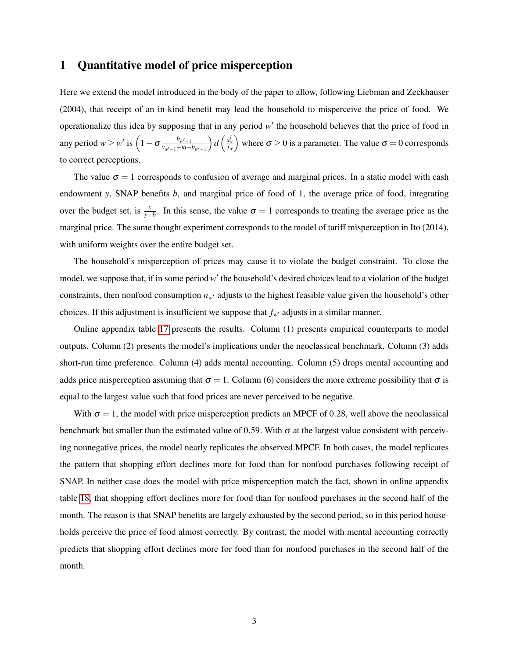#### <span id="page-2-0"></span>1 Quantitative model of price misperception

Here we extend the model introduced in the body of the paper to allow, following Liebman and Zeckhauser (2004), that receipt of an in-kind benefit may lead the household to misperceive the price of food. We operationalize this idea by supposing that in any period  $w'$  the household believes that the price of food in any period  $w \geq w'$  is  $\left(1 - \sigma \frac{b_{w'-1}}{v} \right)$  $y_{w-1}$ +*m*+*b*<sub>*w*</sub><sub>0−1</sub>  $\int d\left(\frac{s_w^f}{f_w}\right)$ where  $\sigma \ge 0$  is a parameter. The value  $\sigma = 0$  corresponds to correct perceptions.

The value  $\sigma = 1$  corresponds to confusion of average and marginal prices. In a static model with cash endowment *y*, SNAP benefits *b*, and marginal price of food of 1, the average price of food, integrating over the budget set, is  $\frac{y}{y+b}$ . In this sense, the value  $\sigma = 1$  corresponds to treating the average price as the marginal price. The same thought experiment corresponds to the model of tariff misperception in Ito (2014), with uniform weights over the entire budget set.

The household's misperception of prices may cause it to violate the budget constraint. To close the model, we suppose that, if in some period w' the household's desired choices lead to a violation of the budget constraints, then nonfood consumption  $n_w$  adjusts to the highest feasible value given the household's other choices. If this adjustment is insufficient we suppose that  $f_w$  adjusts in a similar manner.

Online appendix table [17](#page-19-0) presents the results. Column (1) presents empirical counterparts to model outputs. Column (2) presents the model's implications under the neoclassical benchmark. Column (3) adds short-run time preference. Column (4) adds mental accounting. Column (5) drops mental accounting and adds price misperception assuming that  $\sigma = 1$ . Column (6) considers the more extreme possibility that  $\sigma$  is equal to the largest value such that food prices are never perceived to be negative.

With  $\sigma = 1$ , the model with price misperception predicts an MPCF of 0.28, well above the neoclassical benchmark but smaller than the estimated value of 0.59. With  $\sigma$  at the largest value consistent with perceiving nonnegative prices, the model nearly replicates the observed MPCF. In both cases, the model replicates the pattern that shopping effort declines more for food than for nonfood purchases following receipt of SNAP. In neither case does the model with price misperception match the fact, shown in online appendix table [18,](#page-20-0) that shopping effort declines more for food than for nonfood purchases in the second half of the month. The reason is that SNAP benefits are largely exhausted by the second period, so in this period households perceive the price of food almost correctly. By contrast, the model with mental accounting correctly predicts that shopping effort declines more for food than for nonfood purchases in the second half of the month.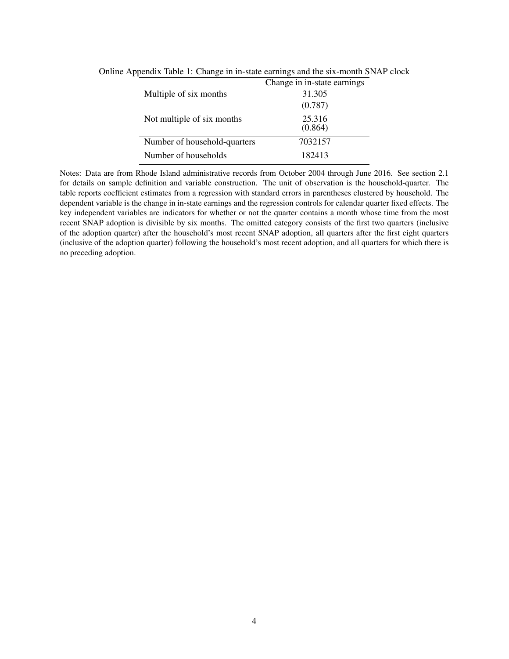<span id="page-3-0"></span>

|                              | Change in in-state earnings |
|------------------------------|-----------------------------|
| Multiple of six months       | 31.305                      |
|                              | (0.787)                     |
| Not multiple of six months   | 25.316<br>(0.864)           |
| Number of household-quarters | 7032157                     |
| Number of households         | 182413                      |

Online Appendix Table 1: Change in in-state earnings and the six-month SNAP clock

Notes: Data are from Rhode Island administrative records from October 2004 through June 2016. See section 2.1 for details on sample definition and variable construction. The unit of observation is the household-quarter. The table reports coefficient estimates from a regression with standard errors in parentheses clustered by household. The dependent variable is the change in in-state earnings and the regression controls for calendar quarter fixed effects. The key independent variables are indicators for whether or not the quarter contains a month whose time from the most recent SNAP adoption is divisible by six months. The omitted category consists of the first two quarters (inclusive of the adoption quarter) after the household's most recent SNAP adoption, all quarters after the first eight quarters (inclusive of the adoption quarter) following the household's most recent adoption, and all quarters for which there is no preceding adoption.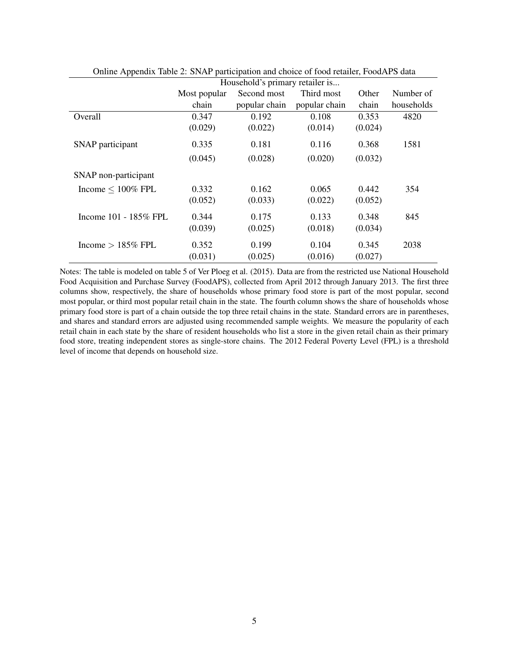|                          | Household's primary retailer is |               |               |         |            |
|--------------------------|---------------------------------|---------------|---------------|---------|------------|
|                          | Most popular                    | Second most   | Third most    | Other   | Number of  |
|                          | chain                           | popular chain | popular chain | chain   | households |
| Overall                  | 0.347                           | 0.192         | 0.108         | 0.353   | 4820       |
|                          | (0.029)                         | (0.022)       | (0.014)       | (0.024) |            |
| SNAP participant         | 0.335                           | 0.181         | 0.116         | 0.368   | 1581       |
|                          | (0.045)                         | (0.028)       | (0.020)       | (0.032) |            |
| SNAP non-participant     |                                 |               |               |         |            |
| Income $\leq 100\%$ FPL  | 0.332                           | 0.162         | 0.065         | 0.442   | 354        |
|                          | (0.052)                         | (0.033)       | (0.022)       | (0.052) |            |
| Income $101 - 185\%$ FPL | 0.344                           | 0.175         | 0.133         | 0.348   | 845        |
|                          | (0.039)                         | (0.025)       | (0.018)       | (0.034) |            |
| Income $> 185\%$ FPL     | 0.352                           | 0.199         | 0.104         | 0.345   | 2038       |
|                          | (0.031)                         | (0.025)       | (0.016)       | (0.027) |            |

<span id="page-4-0"></span>Online Appendix Table 2: SNAP participation and choice of food retailer, FoodAPS data

Notes: The table is modeled on table 5 of Ver Ploeg et al. (2015). Data are from the restricted use National Household Food Acquisition and Purchase Survey (FoodAPS), collected from April 2012 through January 2013. The first three columns show, respectively, the share of households whose primary food store is part of the most popular, second most popular, or third most popular retail chain in the state. The fourth column shows the share of households whose primary food store is part of a chain outside the top three retail chains in the state. Standard errors are in parentheses, and shares and standard errors are adjusted using recommended sample weights. We measure the popularity of each retail chain in each state by the share of resident households who list a store in the given retail chain as their primary food store, treating independent stores as single-store chains. The 2012 Federal Poverty Level (FPL) is a threshold level of income that depends on household size.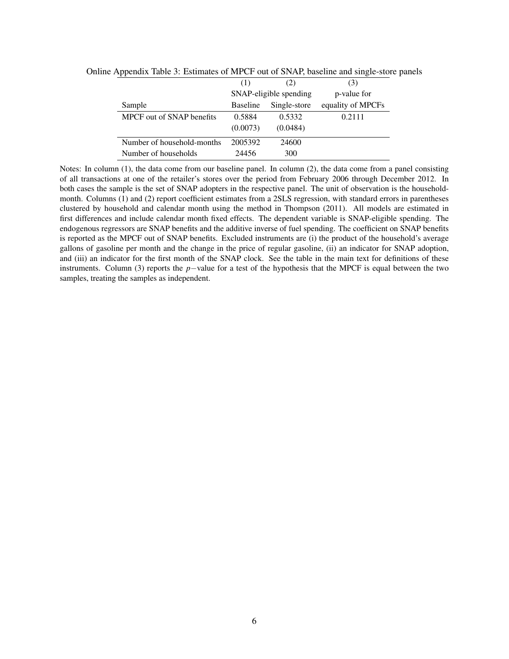<span id="page-5-0"></span>

| * *                        |                 |                        |                   | л. |
|----------------------------|-----------------|------------------------|-------------------|----|
|                            | (1)             | (2)                    | (3)               |    |
|                            |                 | SNAP-eligible spending | p-value for       |    |
| Sample                     | <b>Baseline</b> | Single-store           | equality of MPCFs |    |
| MPCF out of SNAP benefits  | 0.5884          | 0.5332                 | 0.2111            |    |
|                            | (0.0073)        | (0.0484)               |                   |    |
| Number of household-months | 2005392         | 24600                  |                   |    |
| Number of households       | 24456           | 300                    |                   |    |

Online Appendix Table 3: Estimates of MPCF out of SNAP, baseline and single-store panels

Notes: In column (1), the data come from our baseline panel. In column (2), the data come from a panel consisting of all transactions at one of the retailer's stores over the period from February 2006 through December 2012. In both cases the sample is the set of SNAP adopters in the respective panel. The unit of observation is the householdmonth. Columns (1) and (2) report coefficient estimates from a 2SLS regression, with standard errors in parentheses clustered by household and calendar month using the method in Thompson (2011). All models are estimated in first differences and include calendar month fixed effects. The dependent variable is SNAP-eligible spending. The endogenous regressors are SNAP benefits and the additive inverse of fuel spending. The coefficient on SNAP benefits is reported as the MPCF out of SNAP benefits. Excluded instruments are (i) the product of the household's average gallons of gasoline per month and the change in the price of regular gasoline, (ii) an indicator for SNAP adoption, and (iii) an indicator for the first month of the SNAP clock. See the table in the main text for definitions of these instruments. Column (3) reports the *p*−value for a test of the hypothesis that the MPCF is equal between the two samples, treating the samples as independent.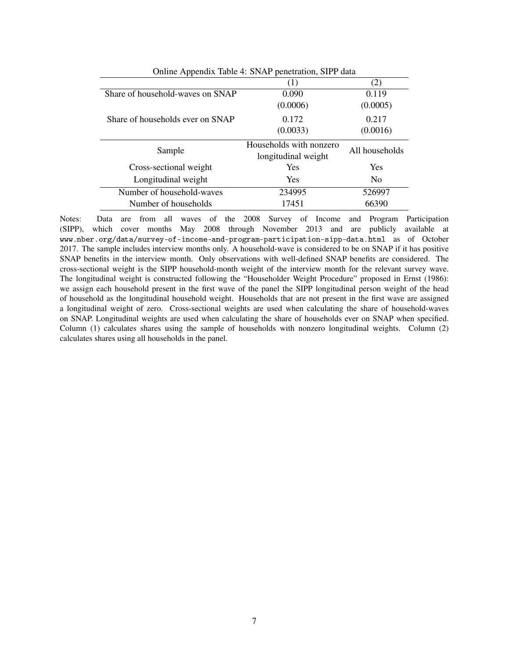<span id="page-6-0"></span>

| Online Appendix Table 4: SNAP penetration, SIPP data |                |  |  |  |  |
|------------------------------------------------------|----------------|--|--|--|--|
| (1)                                                  | (2)            |  |  |  |  |
| 0.090                                                | 0.119          |  |  |  |  |
| (0.0006)                                             | (0.0005)       |  |  |  |  |
| 0.172                                                | 0.217          |  |  |  |  |
| (0.0033)                                             | (0.0016)       |  |  |  |  |
| Households with nonzero                              | All households |  |  |  |  |
| longitudinal weight                                  |                |  |  |  |  |
| <b>Yes</b>                                           | Yes            |  |  |  |  |
| <b>Yes</b>                                           | N <sub>0</sub> |  |  |  |  |
| 234995                                               | 526997         |  |  |  |  |
| 17451                                                | 66390          |  |  |  |  |
|                                                      |                |  |  |  |  |

Notes: Data are from all waves of the 2008 Survey of Income and Program Participation (SIPP), which cover months May 2008 through November 2013 and are publicly available at www.nber.org/data/survey-of-income-and-program-participation-sipp-data.html as of October 2017. The sample includes interview months only. A household-wave is considered to be on SNAP if it has positive SNAP benefits in the interview month. Only observations with well-defined SNAP benefits are considered. The cross-sectional weight is the SIPP household-month weight of the interview month for the relevant survey wave. The longitudinal weight is constructed following the "Householder Weight Procedure" proposed in Ernst (1986): we assign each household present in the first wave of the panel the SIPP longitudinal person weight of the head of household as the longitudinal household weight. Households that are not present in the first wave are assigned a longitudinal weight of zero. Cross-sectional weights are used when calculating the share of household-waves on SNAP. Longitudinal weights are used when calculating the share of households ever on SNAP when specified. Column (1) calculates shares using the sample of households with nonzero longitudinal weights. Column (2) calculates shares using all households in the panel.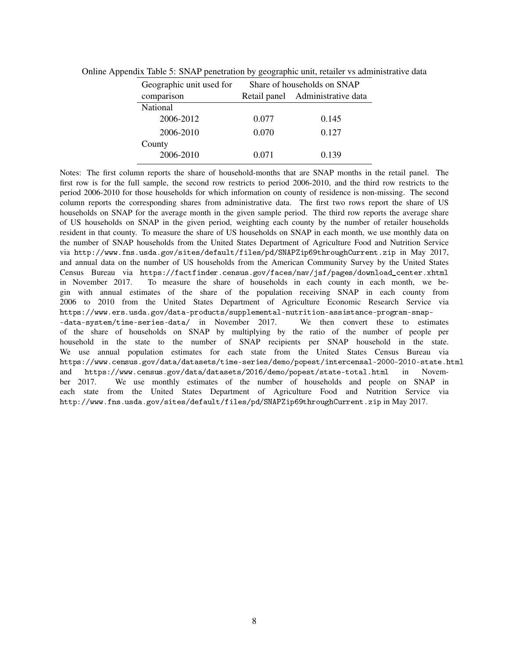<span id="page-7-0"></span>

| Geographic unit used for | Share of households on SNAP |                                  |  |  |
|--------------------------|-----------------------------|----------------------------------|--|--|
| comparison               |                             | Retail panel Administrative data |  |  |
| National                 |                             |                                  |  |  |
| 2006-2012                | 0.077                       | 0.145                            |  |  |
| 2006-2010                | 0.070                       | 0.127                            |  |  |
| County                   |                             |                                  |  |  |
| 2006-2010                | 0.071                       | 0.139                            |  |  |

Online Appendix Table 5: SNAP penetration by geographic unit, retailer vs administrative data

Notes: The first column reports the share of household-months that are SNAP months in the retail panel. The first row is for the full sample, the second row restricts to period 2006-2010, and the third row restricts to the period 2006-2010 for those households for which information on county of residence is non-missing. The second column reports the corresponding shares from administrative data. The first two rows report the share of US households on SNAP for the average month in the given sample period. The third row reports the average share of US households on SNAP in the given period, weighting each county by the number of retailer households resident in that county. To measure the share of US households on SNAP in each month, we use monthly data on the number of SNAP households from the United States Department of Agriculture Food and Nutrition Service via http://www.fns.usda.gov/sites/default/files/pd/SNAPZip69throughCurrent.zip in May 2017, and annual data on the number of US households from the American Community Survey by the United States Census Bureau via https://factfinder.census.gov/faces/nav/jsf/pages/download\_center.xhtml in November 2017. To measure the share of households in each county in each month, we begin with annual estimates of the share of the population receiving SNAP in each county from 2006 to 2010 from the United States Department of Agriculture Economic Research Service via https://www.ers.usda.gov/data-products/supplemental-nutrition-assistance-program-snap-<br>-data-system/time-series-data/ in November 2017. We then convert these to estimates  $-$ data-system/time-series-data/ in November 2017. of the share of households on SNAP by multiplying by the ratio of the number of people per household in the state to the number of SNAP recipients per SNAP household in the state. We use annual population estimates for each state from the United States Census Bureau via https://www.census.gov/data/datasets/time-series/demo/popest/intercensal-2000-2010-state.html and https://www.census.gov/data/datasets/2016/demo/popest/state-total.html in November 2017. We use monthly estimates of the number of households and people on SNAP in each state from the United States Department of Agriculture Food and Nutrition Service via http://www.fns.usda.gov/sites/default/files/pd/SNAPZip69throughCurrent.zip in May 2017.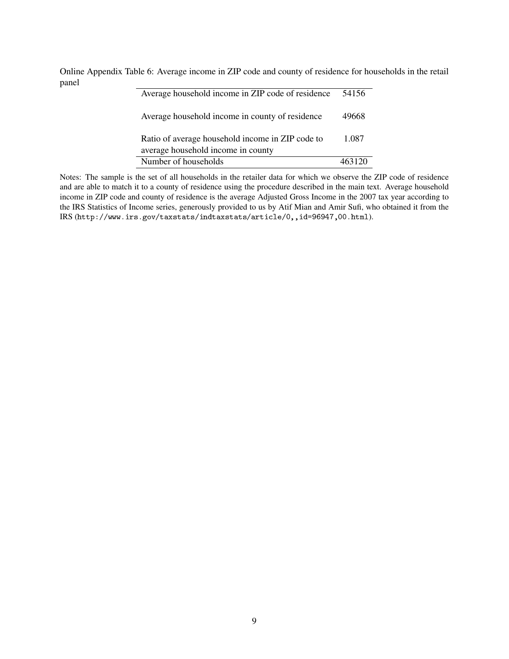Online Appendix Table 6: Average income in ZIP code and county of residence for households in the retail panel  $\overline{a}$ 

<span id="page-8-0"></span>

| Average household income in ZIP code of residence                                      | 54156  |
|----------------------------------------------------------------------------------------|--------|
| Average household income in county of residence                                        | 49668  |
| Ratio of average household income in ZIP code to<br>average household income in county | 1.087  |
| Number of households                                                                   | 463120 |

Notes: The sample is the set of all households in the retailer data for which we observe the ZIP code of residence and are able to match it to a county of residence using the procedure described in the main text. Average household income in ZIP code and county of residence is the average Adjusted Gross Income in the 2007 tax year according to the IRS Statistics of Income series, generously provided to us by Atif Mian and Amir Sufi, who obtained it from the IRS (http://www.irs.gov/taxstats/indtaxstats/article/0,,id=96947,00.html).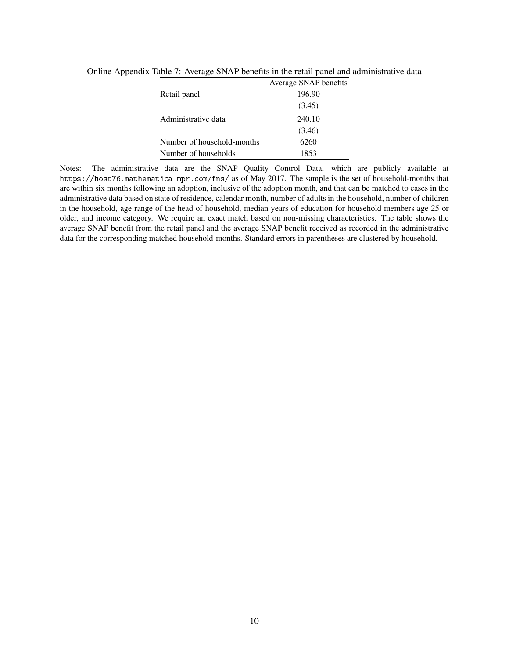<span id="page-9-0"></span>

|                            | Average SNAP benefits |
|----------------------------|-----------------------|
| Retail panel               | 196.90                |
|                            | (3.45)                |
| Administrative data        | 240.10                |
|                            | (3.46)                |
| Number of household-months | 6260                  |
| Number of households       | 1853                  |

Online Appendix Table 7: Average SNAP benefits in the retail panel and administrative data

Notes: The administrative data are the SNAP Quality Control Data, which are publicly available at https://host76.mathematica-mpr.com/fns/ as of May 2017. The sample is the set of household-months that are within six months following an adoption, inclusive of the adoption month, and that can be matched to cases in the administrative data based on state of residence, calendar month, number of adults in the household, number of children in the household, age range of the head of household, median years of education for household members age 25 or older, and income category. We require an exact match based on non-missing characteristics. The table shows the average SNAP benefit from the retail panel and the average SNAP benefit received as recorded in the administrative data for the corresponding matched household-months. Standard errors in parentheses are clustered by household.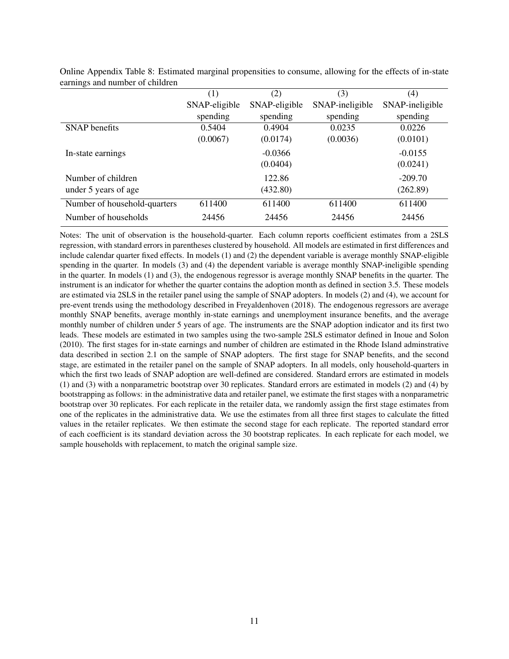|                              | (1)           | (2)           | (3)             | (4)             |
|------------------------------|---------------|---------------|-----------------|-----------------|
|                              | SNAP-eligible | SNAP-eligible | SNAP-ineligible | SNAP-ineligible |
|                              | spending      | spending      | spending        | spending        |
| <b>SNAP</b> benefits         | 0.5404        | 0.4904        | 0.0235          | 0.0226          |
|                              | (0.0067)      | (0.0174)      | (0.0036)        | (0.0101)        |
| In-state earnings            |               | $-0.0366$     |                 | $-0.0155$       |
|                              |               | (0.0404)      |                 | (0.0241)        |
| Number of children           |               | 122.86        |                 | $-209.70$       |
| under 5 years of age         |               | (432.80)      |                 | (262.89)        |
| Number of household-quarters | 611400        | 611400        | 611400          | 611400          |
| Number of households         | 24456         | 24456         | 24456           | 24456           |

<span id="page-10-0"></span>Online Appendix Table 8: Estimated marginal propensities to consume, allowing for the effects of in-state earnings and number of children

Notes: The unit of observation is the household-quarter. Each column reports coefficient estimates from a 2SLS regression, with standard errors in parentheses clustered by household. All models are estimated in first differences and include calendar quarter fixed effects. In models (1) and (2) the dependent variable is average monthly SNAP-eligible spending in the quarter. In models (3) and (4) the dependent variable is average monthly SNAP-ineligible spending in the quarter. In models (1) and (3), the endogenous regressor is average monthly SNAP benefits in the quarter. The instrument is an indicator for whether the quarter contains the adoption month as defined in section 3.5. These models are estimated via 2SLS in the retailer panel using the sample of SNAP adopters. In models (2) and (4), we account for pre-event trends using the methodology described in Freyaldenhoven (2018). The endogenous regressors are average monthly SNAP benefits, average monthly in-state earnings and unemployment insurance benefits, and the average monthly number of children under 5 years of age. The instruments are the SNAP adoption indicator and its first two leads. These models are estimated in two samples using the two-sample 2SLS estimator defined in Inoue and Solon (2010). The first stages for in-state earnings and number of children are estimated in the Rhode Island adminstrative data described in section 2.1 on the sample of SNAP adopters. The first stage for SNAP benefits, and the second stage, are estimated in the retailer panel on the sample of SNAP adopters. In all models, only household-quarters in which the first two leads of SNAP adoption are well-defined are considered. Standard errors are estimated in models (1) and (3) with a nonparametric bootstrap over 30 replicates. Standard errors are estimated in models (2) and (4) by bootstrapping as follows: in the administrative data and retailer panel, we estimate the first stages with a nonparametric bootstrap over 30 replicates. For each replicate in the retailer data, we randomly assign the first stage estimates from one of the replicates in the administrative data. We use the estimates from all three first stages to calculate the fitted values in the retailer replicates. We then estimate the second stage for each replicate. The reported standard error of each coefficient is its standard deviation across the 30 bootstrap replicates. In each replicate for each model, we sample households with replacement, to match the original sample size.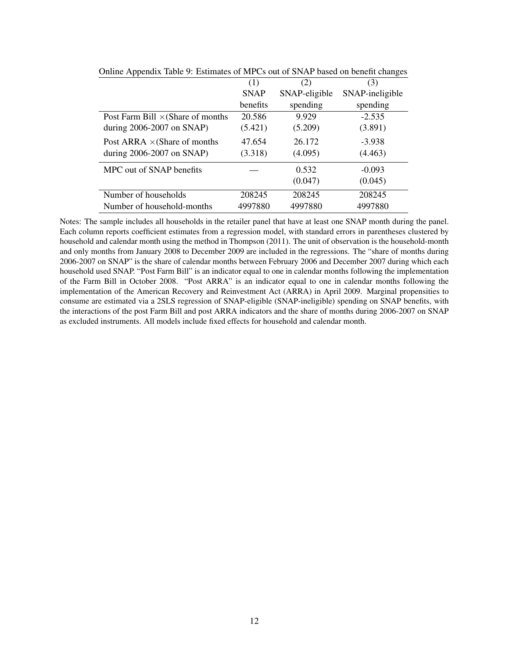| r r                                      |             |               |                 |
|------------------------------------------|-------------|---------------|-----------------|
|                                          | (1)         | (2)           | (3)             |
|                                          | <b>SNAP</b> | SNAP-eligible | SNAP-ineligible |
|                                          | benefits    | spending      | spending        |
| Post Farm Bill $\times$ (Share of months | 20.586      | 9.929         | $-2.535$        |
| during 2006-2007 on SNAP)                | (5.421)     | (5.209)       | (3.891)         |
| Post ARRA $\times$ (Share of months      | 47.654      | 26.172        | $-3.938$        |
| during $2006-2007$ on SNAP)              | (3.318)     | (4.095)       | (4.463)         |
| MPC out of SNAP benefits                 |             | 0.532         | $-0.093$        |
|                                          |             | (0.047)       | (0.045)         |
| Number of households                     | 208245      | 208245        | 208245          |
| Number of household-months               | 4997880     | 4997880       | 4997880         |
|                                          |             |               |                 |

<span id="page-11-0"></span>Online Appendix Table 9: Estimates of MPCs out of SNAP based on benefit changes

Notes: The sample includes all households in the retailer panel that have at least one SNAP month during the panel. Each column reports coefficient estimates from a regression model, with standard errors in parentheses clustered by household and calendar month using the method in Thompson (2011). The unit of observation is the household-month and only months from January 2008 to December 2009 are included in the regressions. The "share of months during 2006-2007 on SNAP" is the share of calendar months between February 2006 and December 2007 during which each household used SNAP. "Post Farm Bill" is an indicator equal to one in calendar months following the implementation of the Farm Bill in October 2008. "Post ARRA" is an indicator equal to one in calendar months following the implementation of the American Recovery and Reinvestment Act (ARRA) in April 2009. Marginal propensities to consume are estimated via a 2SLS regression of SNAP-eligible (SNAP-ineligible) spending on SNAP benefits, with the interactions of the post Farm Bill and post ARRA indicators and the share of months during 2006-2007 on SNAP as excluded instruments. All models include fixed effects for household and calendar month.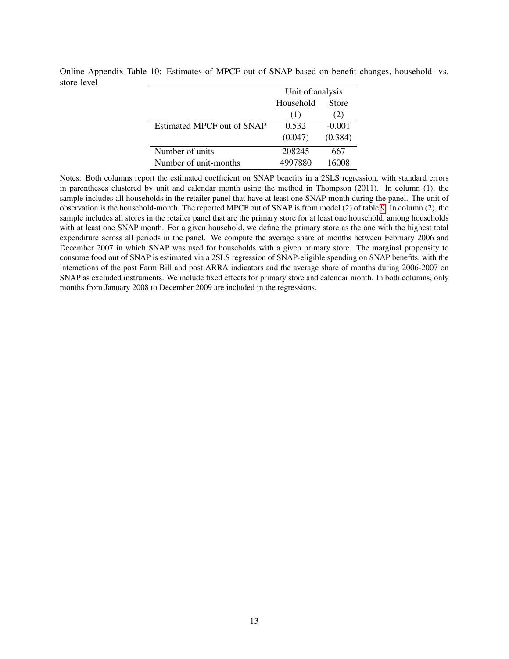<span id="page-12-0"></span>

|                                   | Unit of analysis |          |
|-----------------------------------|------------------|----------|
|                                   | Household        | Store    |
|                                   | (1)              | (2)      |
| <b>Estimated MPCF out of SNAP</b> | 0.532            | $-0.001$ |
|                                   | (0.047)          | (0.384)  |
| Number of units                   | 208245           | 667      |
| Number of unit-months             | 4997880          | 16008    |

Online Appendix Table 10: Estimates of MPCF out of SNAP based on benefit changes, household- vs. store-level

Notes: Both columns report the estimated coefficient on SNAP benefits in a 2SLS regression, with standard errors in parentheses clustered by unit and calendar month using the method in Thompson (2011). In column (1), the sample includes all households in the retailer panel that have at least one SNAP month during the panel. The unit of observation is the household-month. The reported MPCF out of SNAP is from model (2) of table [9.](#page-11-0) In column (2), the sample includes all stores in the retailer panel that are the primary store for at least one household, among households with at least one SNAP month. For a given household, we define the primary store as the one with the highest total expenditure across all periods in the panel. We compute the average share of months between February 2006 and December 2007 in which SNAP was used for households with a given primary store. The marginal propensity to consume food out of SNAP is estimated via a 2SLS regression of SNAP-eligible spending on SNAP benefits, with the interactions of the post Farm Bill and post ARRA indicators and the average share of months during 2006-2007 on SNAP as excluded instruments. We include fixed effects for primary store and calendar month. In both columns, only months from January 2008 to December 2009 are included in the regressions.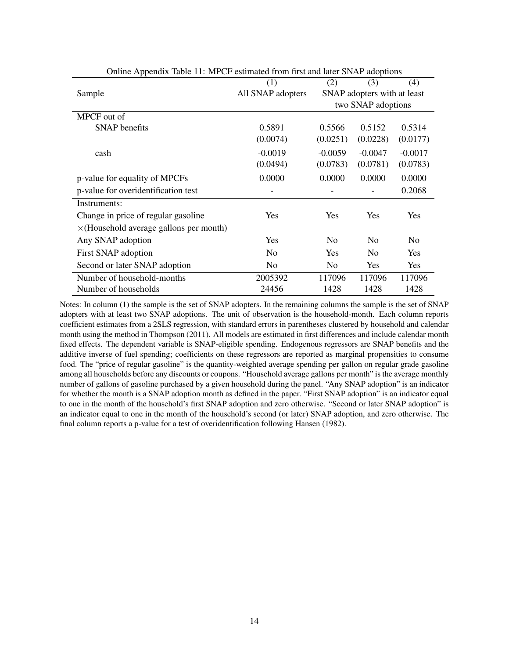| sume reponding there i'll the commute from mot and fater of the adoptions |                   |                |                             |           |
|---------------------------------------------------------------------------|-------------------|----------------|-----------------------------|-----------|
|                                                                           | (1)               | (2)            | (3)                         | (4)       |
| Sample                                                                    | All SNAP adopters |                | SNAP adopters with at least |           |
|                                                                           |                   |                | two SNAP adoptions          |           |
| MPCF out of                                                               |                   |                |                             |           |
| <b>SNAP</b> benefits                                                      | 0.5891            | 0.5566         | 0.5152                      | 0.5314    |
|                                                                           | (0.0074)          | (0.0251)       | (0.0228)                    | (0.0177)  |
| cash                                                                      | $-0.0019$         | $-0.0059$      | $-0.0047$                   | $-0.0017$ |
|                                                                           | (0.0494)          | (0.0783)       | (0.0781)                    | (0.0783)  |
| p-value for equality of MPCFs                                             | 0.0000            | 0.0000         | 0.0000                      | 0.0000    |
| p-value for overidentification test                                       |                   |                |                             | 0.2068    |
| Instruments:                                                              |                   |                |                             |           |
| Change in price of regular gasoline                                       | Yes               | Yes            | <b>Yes</b>                  | Yes       |
| $\times$ (Household average gallons per month)                            |                   |                |                             |           |
| Any SNAP adoption                                                         | Yes               | No             | N <sub>0</sub>              | No.       |
| First SNAP adoption                                                       | N <sub>0</sub>    | Yes            | N <sub>0</sub>              | Yes       |
| Second or later SNAP adoption                                             | N <sub>0</sub>    | N <sub>0</sub> | Yes                         | Yes       |
| Number of household-months                                                | 2005392           | 117096         | 117096                      | 117096    |
| Number of households                                                      | 24456             | 1428           | 1428                        | 1428      |

<span id="page-13-0"></span>Online Appendix Table 11: MPCF estimated from first and later SNAP adoptions

Notes: In column (1) the sample is the set of SNAP adopters. In the remaining columns the sample is the set of SNAP adopters with at least two SNAP adoptions. The unit of observation is the household-month. Each column reports coefficient estimates from a 2SLS regression, with standard errors in parentheses clustered by household and calendar month using the method in Thompson (2011). All models are estimated in first differences and include calendar month fixed effects. The dependent variable is SNAP-eligible spending. Endogenous regressors are SNAP benefits and the additive inverse of fuel spending; coefficients on these regressors are reported as marginal propensities to consume food. The "price of regular gasoline" is the quantity-weighted average spending per gallon on regular grade gasoline among all households before any discounts or coupons. "Household average gallons per month" is the average monthly number of gallons of gasoline purchased by a given household during the panel. "Any SNAP adoption" is an indicator for whether the month is a SNAP adoption month as defined in the paper. "First SNAP adoption" is an indicator equal to one in the month of the household's first SNAP adoption and zero otherwise. "Second or later SNAP adoption" is an indicator equal to one in the month of the household's second (or later) SNAP adoption, and zero otherwise. The final column reports a p-value for a test of overidentification following Hansen (1982).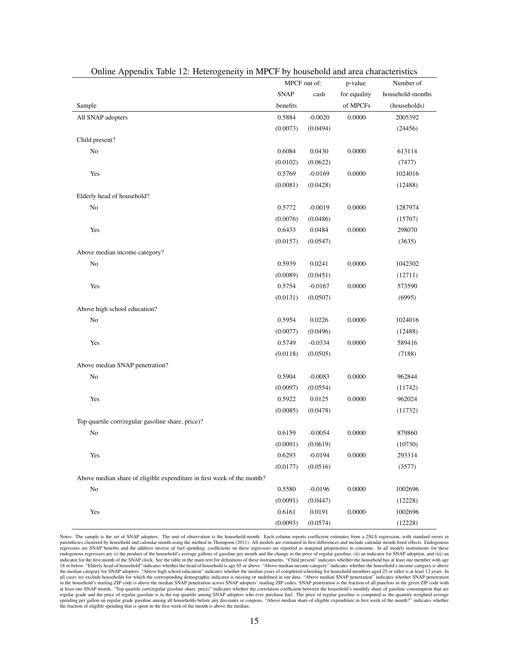|                                                                        |             | MPCF out of: | p-value      | Number of        |
|------------------------------------------------------------------------|-------------|--------------|--------------|------------------|
|                                                                        | <b>SNAP</b> | cash         | for equality | household-months |
| Sample                                                                 | benefits    |              | of MPCFs     | (households)     |
| All SNAP adopters                                                      | 0.5884      | $-0.0020$    | 0.0000       | 2005392          |
|                                                                        | (0.0073)    | (0.0494)     |              | (24456)          |
| Child present?                                                         |             |              |              |                  |
| No                                                                     | 0.6084      | 0.0430       | 0.0000       | 613114           |
|                                                                        | (0.0102)    | (0.0622)     |              | (7477)           |
| Yes                                                                    | 0.5769      | $-0.0169$    | 0.0000       | 1024016          |
|                                                                        | (0.0081)    | (0.0428)     |              | (12488)          |
| Elderly head of household?                                             |             |              |              |                  |
| No                                                                     | 0.5772      | $-0.0019$    | 0.0000       | 1287974          |
|                                                                        | (0.0076)    | (0.0486)     |              | (15707)          |
| Yes                                                                    | 0.6433      | 0.0484       | 0.0000       | 298070           |
|                                                                        | (0.0157)    | (0.0547)     |              | (3635)           |
| Above median income category?                                          |             |              |              |                  |
| $\rm No$                                                               | 0.5939      | 0.0241       | 0.0000       | 1042302          |
|                                                                        | (0.0089)    | (0.0451)     |              | (12711)          |
| Yes                                                                    | 0.5754      | $-0.0167$    | 0.0000       | 573590           |
|                                                                        | (0.0131)    | (0.0507)     |              | (6995)           |
| Above high school education?                                           |             |              |              |                  |
| $\rm No$                                                               | 0.5954      | 0.0226       | 0.0000       | 1024016          |
|                                                                        | (0.0077)    | (0.0496)     |              | (12488)          |
| Yes                                                                    | 0.5749      | $-0.0334$    | 0.0000       | 589416           |
|                                                                        | (0.0118)    | (0.0505)     |              | (7188)           |
| Above median SNAP penetration?                                         |             |              |              |                  |
| No                                                                     | 0.5904      | $-0.0083$    | 0.0000       | 962844           |
|                                                                        | (0.0097)    | (0.0554)     |              | (11742)          |
| Yes                                                                    | 0.5922      | 0.0125       | 0.0000       | 962024           |
|                                                                        | (0.0085)    | (0.0478)     |              | (11732)          |
| Top quartile corr(regular gasoline share, price)?                      |             |              |              |                  |
| No                                                                     | 0.6159      | $-0.0054$    | 0.0000       | 879860           |
|                                                                        | (0.0091)    | (0.0619)     |              | (10730)          |
| Yes                                                                    | 0.6293      | $-0.0194$    | 0.0000       | 293314           |
|                                                                        | (0.0177)    | (0.0516)     |              | (3577)           |
| Above median share of eligible expenditure in first week of the month? |             |              |              |                  |
| $\rm No$                                                               | 0.5580      | $-0.0196$    | 0.0000       | 1002696          |
|                                                                        | (0.0091)    | (0.0447)     |              | (12228)          |
| Yes                                                                    | 0.6161      | 0.0191       | 0.0000       | 1002696          |
|                                                                        | (0.0093)    | (0.0574)     |              | (12228)          |

<span id="page-14-0"></span>

| Online Appendix Table 12: Heterogeneity in MPCF by household and area characteristics |  |  |
|---------------------------------------------------------------------------------------|--|--|
|                                                                                       |  |  |

Notes: The sample is the set of SNAP adopters. The unit of observation is the household-month. Each column reports coefficient estimates from a 2SLS regression, with standard errors in<br>parentheses clustered by household an regressors are SNAP benefits and the additive inverse of fuel spending; coefficients on these regressors are reported as marginal propensities to consume. In all models instruments for these<br>endogenous regressors are (i) t indicator for the first month of the SNAP clock. See the table in the main text for definitions of these instruments. "Child present" indicates whether the household has at least one member with age 18 or below. "Elderly head of household" indicates whether the head of household is age 65 or above. "Above median income category" indicates whether the household's income category is above<br>the median category for SNAP ad all cases we exclude households for which the corresponding demographic indicator is missing or undefined in our data. "Above median SNAP penetration" indicates whether SNAP penetration<br>in the household's mailing ZIP code regular grade and the price of regular gasoline is in the top quartile among SNAP adopters who ever purchase fuel. The price of regular gasoline is computed as the quantity-weighted average<br>spending per gallon on regular g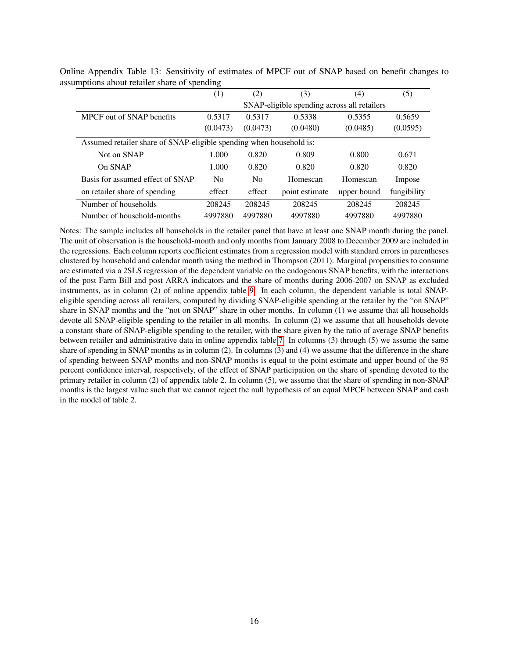<span id="page-15-0"></span>

| (1)                                                                 | (2)            | (3)            | (4)         | (5)                                         |  |  |  |
|---------------------------------------------------------------------|----------------|----------------|-------------|---------------------------------------------|--|--|--|
|                                                                     |                |                |             |                                             |  |  |  |
| 0.5317                                                              | 0.5317         | 0.5338         | 0.5355      | 0.5659                                      |  |  |  |
| (0.0473)                                                            | (0.0473)       | (0.0480)       | (0.0485)    | (0.0595)                                    |  |  |  |
| Assumed retailer share of SNAP-eligible spending when household is: |                |                |             |                                             |  |  |  |
| 1.000                                                               | 0.820          | 0.809          | 0.800       | 0.671                                       |  |  |  |
| 1.000                                                               | 0.820          | 0.820          | 0.820       | 0.820                                       |  |  |  |
| N <sub>0</sub>                                                      | N <sub>o</sub> | Homescan       | Homescan    | Impose                                      |  |  |  |
| effect                                                              | effect         | point estimate | upper bound | fungibility                                 |  |  |  |
| 208245                                                              | 208245         | 208245         | 208245      | 208245                                      |  |  |  |
| 4997880                                                             | 4997880        | 4997880        | 4997880     | 4997880                                     |  |  |  |
|                                                                     |                |                |             | SNAP-eligible spending across all retailers |  |  |  |

Online Appendix Table 13: Sensitivity of estimates of MPCF out of SNAP based on benefit changes to assumptions about retailer share of spending

Notes: The sample includes all households in the retailer panel that have at least one SNAP month during the panel. The unit of observation is the household-month and only months from January 2008 to December 2009 are included in the regressions. Each column reports coefficient estimates from a regression model with standard errors in parentheses clustered by household and calendar month using the method in Thompson (2011). Marginal propensities to consume are estimated via a 2SLS regression of the dependent variable on the endogenous SNAP benefits, with the interactions of the post Farm Bill and post ARRA indicators and the share of months during 2006-2007 on SNAP as excluded instruments, as in column (2) of online appendix table [9.](#page-11-0) In each column, the dependent variable is total SNAPeligible spending across all retailers, computed by dividing SNAP-eligible spending at the retailer by the "on SNAP" share in SNAP months and the "not on SNAP" share in other months. In column (1) we assume that all households devote all SNAP-eligible spending to the retailer in all months. In column (2) we assume that all households devote a constant share of SNAP-eligible spending to the retailer, with the share given by the ratio of average SNAP benefits between retailer and administrative data in online appendix table [7.](#page-9-0) In columns (3) through (5) we assume the same share of spending in SNAP months as in column (2). In columns (3) and (4) we assume that the difference in the share of spending between SNAP months and non-SNAP months is equal to the point estimate and upper bound of the 95 percent confidence interval, respectively, of the effect of SNAP participation on the share of spending devoted to the primary retailer in column (2) of appendix table 2. In column (5), we assume that the share of spending in non-SNAP months is the largest value such that we cannot reject the null hypothesis of an equal MPCF between SNAP and cash in the model of table 2.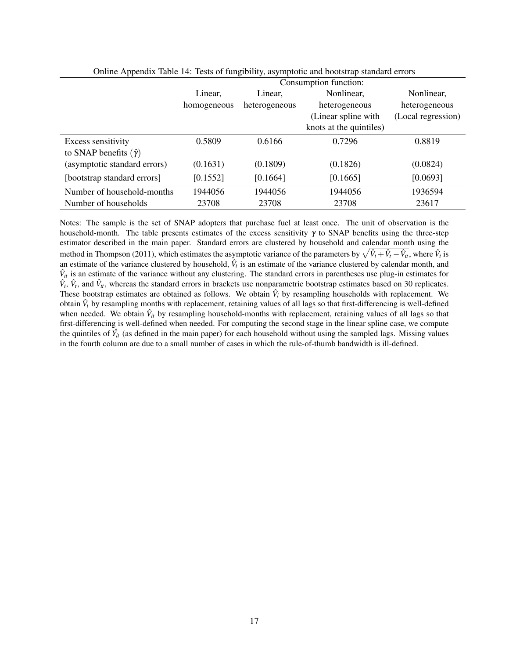| * *                               |                       |               |                         |                    |  |
|-----------------------------------|-----------------------|---------------|-------------------------|--------------------|--|
|                                   | Consumption function: |               |                         |                    |  |
|                                   | Linear,               | Linear.       | Nonlinear,              | Nonlinear,         |  |
|                                   | homogeneous           | heterogeneous | heterogeneous           | heterogeneous      |  |
|                                   |                       |               | (Linear spline with     | (Local regression) |  |
|                                   |                       |               | knots at the quintiles) |                    |  |
| Excess sensitivity                | 0.5809                | 0.6166        | 0.7296                  | 0.8819             |  |
| to SNAP benefits $(\hat{\gamma})$ |                       |               |                         |                    |  |
| (asymptotic standard errors)      | (0.1631)              | (0.1809)      | (0.1826)                | (0.0824)           |  |
| [bootstrap standard errors]       | [0.1552]              | [0.1664]      | [0.1665]                | [0.0693]           |  |
| Number of household-months        | 1944056               | 1944056       | 1944056                 | 1936594            |  |
| Number of households              | 23708                 | 23708         | 23708                   | 23617              |  |
|                                   |                       |               |                         |                    |  |

<span id="page-16-0"></span>

|  | Online Appendix Table 14: Tests of fungibility, asymptotic and bootstrap standard errors |  |  |
|--|------------------------------------------------------------------------------------------|--|--|
|  |                                                                                          |  |  |

Notes: The sample is the set of SNAP adopters that purchase fuel at least once. The unit of observation is the household-month. The table presents estimates of the excess sensitivity  $\gamma$  to SNAP benefits using the three-step estimator described in the main paper. Standard errors are clustered by household and calendar month using the method in Thompson (2011), which estimates the asymptotic variance of the parameters by  $\sqrt{\hat{V}_i+\hat{V}_t-\hat{V}_u}$ , where  $\hat{V}_i$  is an estimate of the variance clustered by household,  $\hat{V}_t$  is an estimate of the variance clustered by calendar month, and  $\hat{V}_{it}$  is an estimate of the variance without any clustering. The standard errors in parentheses use plug-in estimates for  $\hat{V}_i$ ,  $\hat{V}_t$ , and  $\hat{V}_t$ , whereas the standard errors in brackets use nonparametric bootstrap estimates based on 30 replicates. These bootstrap estimates are obtained as follows. We obtain  $\hat{V}_i$  by resampling households with replacement. We obtain  $\hat{V}_t$  by resampling months with replacement, retaining values of all lags so that first-differencing is well-defined when needed. We obtain  $\hat{V}_{it}$  by resampling household-months with replacement, retaining values of all lags so that first-differencing is well-defined when needed. For computing the second stage in the linear spline case, we compute the quintiles of  $\hat{Y}_{it}$  (as defined in the main paper) for each household without using the sampled lags. Missing values in the fourth column are due to a small number of cases in which the rule-of-thumb bandwidth is ill-defined.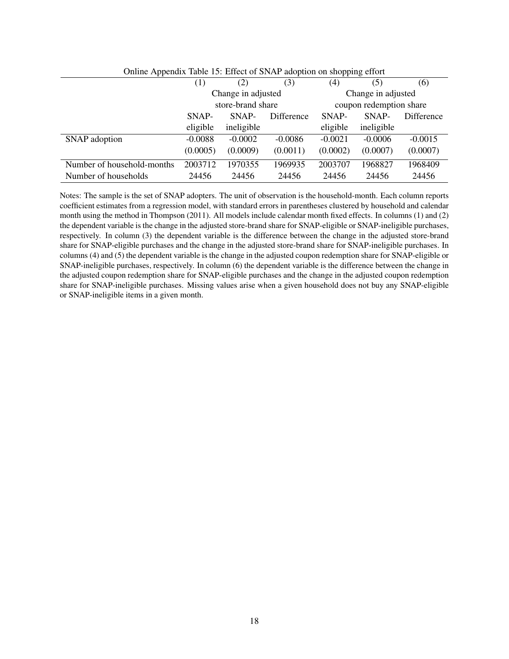| $\sigma$ of the supposite that $\sigma$ is the state of $\sigma$ at $\sigma$ and $\sigma$ and $\sigma$ and $\sigma$ and $\sigma$ |                   |                    |            |           |                         |            |
|----------------------------------------------------------------------------------------------------------------------------------|-------------------|--------------------|------------|-----------|-------------------------|------------|
|                                                                                                                                  | (1)               | (2)                | (3)        | (4)       | (5)                     | (6)        |
|                                                                                                                                  |                   | Change in adjusted |            |           | Change in adjusted      |            |
|                                                                                                                                  | store-brand share |                    |            |           | coupon redemption share |            |
|                                                                                                                                  | SNAP-             | SNAP-              | Difference | SNAP-     | SNAP-                   | Difference |
|                                                                                                                                  | eligible          | ineligible         |            | eligible  | ineligible              |            |
| SNAP adoption                                                                                                                    | $-0.0088$         | $-0.0002$          | $-0.0086$  | $-0.0021$ | $-0.0006$               | $-0.0015$  |
|                                                                                                                                  | (0.0005)          | (0.0009)           | (0.0011)   | (0.0002)  | (0.0007)                | (0.0007)   |
| Number of household-months                                                                                                       | 2003712           | 1970355            | 1969935    | 2003707   | 1968827                 | 1968409    |
| Number of households                                                                                                             | 24456             | 24456              | 24456      | 24456     | 24456                   | 24456      |

<span id="page-17-0"></span>Online Appendix Table 15: Effect of SNAP adoption on shopping effort

Notes: The sample is the set of SNAP adopters. The unit of observation is the household-month. Each column reports coefficient estimates from a regression model, with standard errors in parentheses clustered by household and calendar month using the method in Thompson (2011). All models include calendar month fixed effects. In columns (1) and (2) the dependent variable is the change in the adjusted store-brand share for SNAP-eligible or SNAP-ineligible purchases, respectively. In column (3) the dependent variable is the difference between the change in the adjusted store-brand share for SNAP-eligible purchases and the change in the adjusted store-brand share for SNAP-ineligible purchases. In columns (4) and (5) the dependent variable is the change in the adjusted coupon redemption share for SNAP-eligible or SNAP-ineligible purchases, respectively. In column (6) the dependent variable is the difference between the change in the adjusted coupon redemption share for SNAP-eligible purchases and the change in the adjusted coupon redemption share for SNAP-ineligible purchases. Missing values arise when a given household does not buy any SNAP-eligible or SNAP-ineligible items in a given month.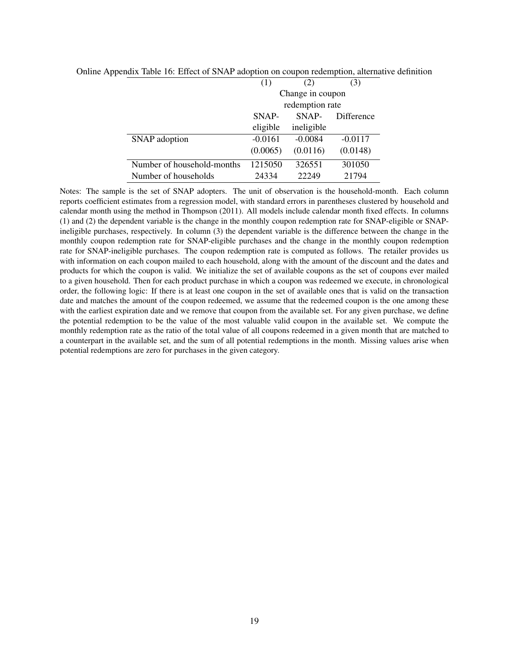<span id="page-18-0"></span>

|                            | (1)              |            | (3)        |  |  |
|----------------------------|------------------|------------|------------|--|--|
|                            | Change in coupon |            |            |  |  |
|                            | redemption rate  |            |            |  |  |
|                            | SNAP-            | SNAP-      | Difference |  |  |
|                            | eligible         | ineligible |            |  |  |
| SNAP adoption              | $-0.0161$        | $-0.0084$  | $-0.0117$  |  |  |
|                            | (0.0065)         | (0.0116)   | (0.0148)   |  |  |
| Number of household-months | 1215050          | 326551     | 301050     |  |  |
| Number of households       | 24334            | 22249      | 21794      |  |  |

Online Appendix Table 16: Effect of SNAP adoption on coupon redemption, alternative definition

Notes: The sample is the set of SNAP adopters. The unit of observation is the household-month. Each column reports coefficient estimates from a regression model, with standard errors in parentheses clustered by household and calendar month using the method in Thompson (2011). All models include calendar month fixed effects. In columns (1) and (2) the dependent variable is the change in the monthly coupon redemption rate for SNAP-eligible or SNAPineligible purchases, respectively. In column (3) the dependent variable is the difference between the change in the monthly coupon redemption rate for SNAP-eligible purchases and the change in the monthly coupon redemption rate for SNAP-ineligible purchases. The coupon redemption rate is computed as follows. The retailer provides us with information on each coupon mailed to each household, along with the amount of the discount and the dates and products for which the coupon is valid. We initialize the set of available coupons as the set of coupons ever mailed to a given household. Then for each product purchase in which a coupon was redeemed we execute, in chronological order, the following logic: If there is at least one coupon in the set of available ones that is valid on the transaction date and matches the amount of the coupon redeemed, we assume that the redeemed coupon is the one among these with the earliest expiration date and we remove that coupon from the available set. For any given purchase, we define the potential redemption to be the value of the most valuable valid coupon in the available set. We compute the monthly redemption rate as the ratio of the total value of all coupons redeemed in a given month that are matched to a counterpart in the available set, and the sum of all potential redemptions in the month. Missing values arise when potential redemptions are zero for purchases in the given category.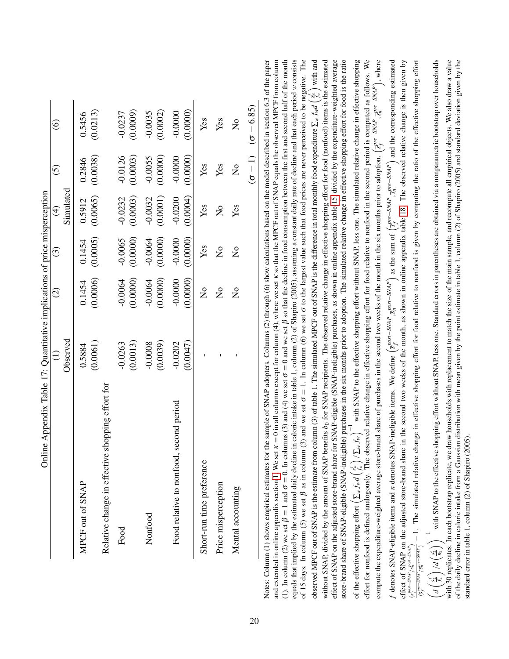|                                                  | Online Appendix Table 17: Quantitative implications of price misperception |                      |                           |                                       | $\widehat{5}$ |                                  |  |
|--------------------------------------------------|----------------------------------------------------------------------------|----------------------|---------------------------|---------------------------------------|---------------|----------------------------------|--|
|                                                  | Observed                                                                   | $\widehat{\infty}$   | $\widehat{\mathcal{C}}$   | Simulated<br>$\widehat{\mathfrak{t}}$ |               | $\widehat{\odot}$                |  |
|                                                  |                                                                            |                      |                           |                                       |               |                                  |  |
| MPCF out of SNAP                                 | 0.5884                                                                     | 0.1454               | 0.1454                    | 0.5912                                | 0.2846        | 0.5456                           |  |
|                                                  | (0.0061)                                                                   | (0.0006)             | (0.0005)                  | (0.0065)                              | (0.0038)      | (0.0213)                         |  |
| Relative change in effective shopping effort for |                                                                            |                      |                           |                                       |               |                                  |  |
| Food                                             | $-0.0263$                                                                  | $-0.0064$            | $-0.0065$                 | $-0.0232$                             | $-0.0126$     | $-0.0237$                        |  |
|                                                  | (0.0013)                                                                   | (0.0000)             | (0.0000)                  | (0.0003)                              | (0.0003)      | (0.0009)                         |  |
| Nonfood                                          | $-0.0008$                                                                  | $-0.0064$            | $-0.0064$                 | $-0.0032$                             | $-0.0055$     | $-0.0035$                        |  |
|                                                  | (0.0039)                                                                   | (0.0000)             | (0.0000)                  | (0.0001)                              | (0.0000)      | (0.0002)                         |  |
| Food relative to nonfood, second period          | $-0.0202$                                                                  | $-0.0000$            | $-0.0000$                 | $-0.0200$                             | $-0.0000$     | $-0.0000$                        |  |
|                                                  | (0.0047)                                                                   | (0.0000)             | (0.0000)                  | (0.0004)                              | (0.0000)      | (0.0000)                         |  |
| Short-run time preference                        |                                                                            | $\frac{1}{2}$        | Yes                       | Yes                                   | Yes           | Yes                              |  |
| Price misperception                              |                                                                            | $\frac{1}{2}$        | $\mathsf{S}^{\mathsf{O}}$ | $\frac{1}{2}$                         | Yes           | Yes                              |  |
| Mental accounting                                |                                                                            | $\mathsf{z}^{\circ}$ | $\mathsf{S}^{\mathsf{O}}$ | Yes                                   | $\frac{1}{2}$ | $\frac{1}{2}$                    |  |
|                                                  |                                                                            |                      |                           |                                       |               | $(\sigma = 1)$ $(\sigma = 6.85)$ |  |

<span id="page-19-0"></span> $\overline{a}$  $\frac{4}{15}$   $\frac{4}{15}$   $\frac{4}{15}$  $\overline{a}$ effect of SNAP on the adjusted store-brand share for SNAP-eligible (SNAP-ineligible) purchases, as shown in online appendix table 15, divided by the expenditure-weighted average store-brand share of SNAP-eligible (SNAP-ineligible) purchases in the six months prior to adoption. The simulated relative change in effective shopping effort for food is the ratio with SNAP to the effective shopping effort without SNAP, less one. The simulated relative change in effective shopping effort for nonfood is defined analogously. The observed relative change in effective shopping effort for food relative to nonfood in the second period is computed as follows. We compute the expenditure-weighted average store-brand share of purchases in the second two weeks of the month in the six months prior to adoption,  $\left(s_f^{pre-SNAP}, s_n^{pre-SNAP}\right)$ , where with 30 replicates. In each bootstrap replicate, we draw households with replacement to match the size of the main sample, and recompute all empirical objects. We also draw a value of the daily decline in caloric intake from a Gaussian distribution with mean given by the point estimate in table 1, column (2) of Shapiro (2005) and standard deviation given by the jer  $_{\rm{ed}}$ f denotes SNAP-eligible items and *n* denotes SNAP-ineligible items. We define  $\left(s^{post-SNAP}_{r}, s^{post-SNAP}_{n}\right)$  as the sum of  $\left(s^{pre-SNAP}_{r}, s^{pre-SNAP}_{n}\right)$  and the corresponding estimated effect of SNAP on the adjusted store-brand share in the second two weeks of the month, as shown in online appendix table 18. The observed relative change is then given by with SNAP to the effective shopping effort without SNAP, less one. Standard errors in parentheses are obtained via a nonparametric bootstrap over households Notes: Column (1) shows empirical estimates for the sample of SNAP adopters. Columns (2) through (6) show calculations based on the model described in section 6.3 of the paper and extended in online appendix section [1.](#page-2-0) We set  $\kappa = 0$  in all columns except for column (4), where we set  $\kappa$  so that the MPCF out of SNAP equals the observed MPCF from column ( $\kappa$ ) (1). In column (2) we set  $\beta = 0$  and  $\alpha = 0$  and (4) we set  $\sigma = 0$  and we set  $\beta$  so that the decline in food consumption between the first and second half of the month equals that implied by the estimated daily decline in caloric intake in table 1, column (2) of Shapiro (2005), assuming a constant daily rate of decline and that each period *w* consists of 15 days. In column (5) we set  $\beta$  as in column (3) and we set  $\sigma$  in column (6) we set  $\sigma$  to the largest value such that food prices are never perceived to be negative. The observed MPCF out of SNAP is the estimate from column (3) of table 1. The simulated MPCF out of SNAP is the difference in total monthly food expenditure  $\sum_{w} f_{w} d\left(\frac{\epsilon_{v}}{f_{w}}\right)$  with and without SNAP, divided by the amount of SNAP benefits *b*<sub>0</sub> for SNAP recipients. The observed relative change in effective shopping effort for food (nonfood) items is the estimated effect of SNAP on the adjusted store-brand share for SNAP-eligible (SNAP-ineligible) purchases, as shown in online appendix table [15,](#page-17-0) divided by the expenditure-weighted average store-brand share of SNAP-eligible (SNAP-ineligible) purchases in the six months prior to adoption. The simulated relative change in effective shopping effort for food is the ratio of the effective shopping effort  $(\sum_{w} f_{w} d(\frac{f_{w}}{f_{w}}) / \sum_{w} f_{w} f_{w})^{-1}$  with SNAP to the effective shopping effort without SNAP, less one. The simulated relative change in effective shopping effort for nonfood is defined analogously. The observed relative change in effective shopping effort for food relative to nonfood in the second period is computed as follows. We compute the expenditure-weighted average store-brand share of purchases in the second two weeks of the month in the six months prior to adoption,  $\left(\frac{s}{sf}\right)^{n}$  =  $\frac{s}{sf}$ ,  $\frac{s}{sf}$  =  $\frac{s}{sf}$ , where f denotes SNAP-eligible items and *n* denotes SNAP-ineligible items. We define  $\left(s_f^{post-SNAP}, \frac{p_{post}-SNAP}{s_n}\right)$  as the sum of  $\left(s_f^{pre-SNAP}, \frac{p_{n}^{post-SNAP}}{s_n}\right)$  and the corresponding estimated effect of SNAP on the adjusted store-brand share in the second two weeks of the month, as shown in online appendix table [18.](#page-20-0) The observed relative change is then given by  $\frac{S_F^{max-MH} \setminus S_H^{max-MH}}{(S_F^{max-MH})} - 1$ . The simulated relative change in effective shopping effort for food relative to nonfood is given by computing the ratio of the effective shopping effort  $\frac{f_{\text{per}-NN}f_{\text{on}}}{f_{\text{off}}^2}$  – 1. The simulated relative change in effective shopping effort for food relative to nonfood is given by computing the ratio of the effective shopping effort  $\left(d\left(\frac{s_1'}{r_2}\right)/d\left(\frac{s_2^n}{r_2}\right)\right)^{-1}$  with SNAP to the effective shopping effort without SNAP, less one. Standard errors in parentheses are obtained via a nonparametric bootstrap over households with 30 replicates. In each bootstrap replicate, we draw households with replacement to match the size of the main sample, and recompute all empirical objects. We also draw a value of the daily decline in caloric intake from a Gaussian distribution with mean given by the point estimate in table 1, column (2) of Shapiro (2005) and standard deviation given by the of the effective shopping effort  $\left(\sum_{w}f_{w}d\left(\frac{sf_{w}}{f_{w}}\right)/\sum_{w}f_{w}\right)$  $\int d\left(\frac{s_1^n}{n_2}\right)^{-1}$  wi EILECT OF STAP  $\sqrt{5p\alpha t - SNAP}$ <br>  $\frac{1}{\sqrt{5p\alpha t - SNAP}}$ (*spost*−*SNAP f* /*spost*−*SNAP n* ) of 15 days. observed M  $(1)$ . In colu without SN Notes: Col and extend equals that  $d\left(\frac{s_2^f}{f_2}\right)$ 

standard error in table 1, column (2) of Shapiro (2005).

standard error in table 1, column (2) of Shapiro (2005).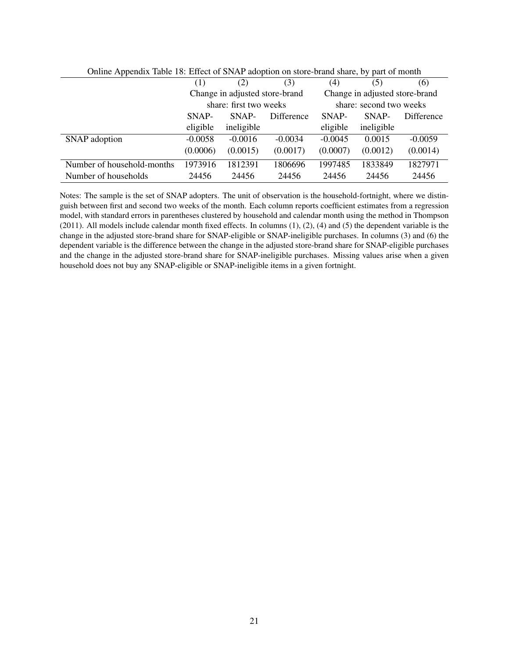| Offinite Appendix Tuble To. Entert of Divisi adoption on store brand share, by part of month |                        |                                |            |           |                                |            |
|----------------------------------------------------------------------------------------------|------------------------|--------------------------------|------------|-----------|--------------------------------|------------|
|                                                                                              | (1)                    | (2)                            | (3)        | (4)       | (5)                            | (6)        |
|                                                                                              |                        | Change in adjusted store-brand |            |           | Change in adjusted store-brand |            |
|                                                                                              | share: first two weeks |                                |            |           | share: second two weeks        |            |
|                                                                                              | SNAP-                  | SNAP-                          | Difference | SNAP-     | SNAP-                          | Difference |
|                                                                                              | eligible               | ineligible                     |            | eligible  | ineligible                     |            |
| SNAP adoption                                                                                | $-0.0058$              | $-0.0016$                      | $-0.0034$  | $-0.0045$ | 0.0015                         | $-0.0059$  |
|                                                                                              | (0.0006)               | (0.0015)                       | (0.0017)   | (0.0007)  | (0.0012)                       | (0.0014)   |
| Number of household-months                                                                   | 1973916                | 1812391                        | 1806696    | 1997485   | 1833849                        | 1827971    |
| Number of households                                                                         | 24456                  | 24456                          | 24456      | 24456     | 24456                          | 24456      |

<span id="page-20-0"></span>Online Appendix Table 18: Effect of SNAP adoption on store-brand share, by part of month

Notes: The sample is the set of SNAP adopters. The unit of observation is the household-fortnight, where we distinguish between first and second two weeks of the month. Each column reports coefficient estimates from a regression model, with standard errors in parentheses clustered by household and calendar month using the method in Thompson  $(2011)$ . All models include calendar month fixed effects. In columns  $(1)$ ,  $(2)$ ,  $(4)$  and  $(5)$  the dependent variable is the change in the adjusted store-brand share for SNAP-eligible or SNAP-ineligible purchases. In columns (3) and (6) the dependent variable is the difference between the change in the adjusted store-brand share for SNAP-eligible purchases and the change in the adjusted store-brand share for SNAP-ineligible purchases. Missing values arise when a given household does not buy any SNAP-eligible or SNAP-ineligible items in a given fortnight.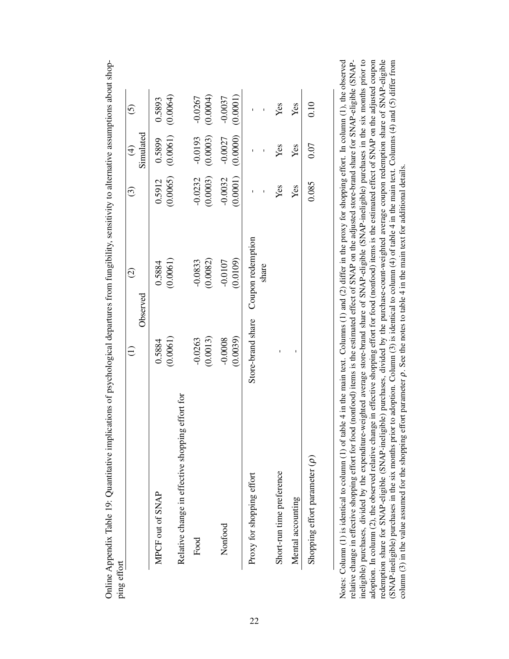| effort                                           |           | $\widehat{\varrho}$                 | $\widehat{\mathcal{C}}$ | $\widehat{\mathfrak{F}}$ | $\tilde{c}$           |
|--------------------------------------------------|-----------|-------------------------------------|-------------------------|--------------------------|-----------------------|
|                                                  |           | Observed                            |                         | Simulated                |                       |
| MPCF out of SNAP                                 | 0.5884    | 0.5884                              | 0.5912                  | 0.5899                   | 0.5893                |
|                                                  | (0.0061)  | (0.0061)                            |                         | $(0.0065)$ $(0.0061)$    | (0.0064)              |
| Relative change in effective shopping effort for |           |                                     |                         |                          |                       |
| Food                                             | $-0.0263$ | $-0.0833$                           | $-0.0232$               | $-0.0193$                | $-0.0267$             |
|                                                  | (0.0013)  | (0.0082)                            | (0.0003)                | (0.0003)                 | (0.0004)              |
| Nonfood                                          | $-0.0008$ | $-0.0107$                           | $-0.0032$               | $-0.0027$                | $-0.0037$             |
|                                                  | (0.0039)  | (0.0109)                            | (0.0001)                |                          | $(0.0000)$ $(0.0001)$ |
| Proxy for shopping effort                        |           | Store-brand share Coupon redemption |                         |                          |                       |
|                                                  |           | share                               |                         |                          |                       |
| Short-run time preference                        |           |                                     | Yes                     | Yes                      | Yes                   |
| Mental accounting                                |           |                                     | Yes                     | Yes                      | Yes                   |
| Shopping effort parameter $(\rho)$               |           |                                     | 0.085                   | 0.07                     | 0.10                  |

<span id="page-21-0"></span>Online Appendix Table 19: Quantitative implications of psychological departures from fungibility, sensitivity to alternative assumptions about shop-Online Appendix Table 19: Quantitative implications of psychological departures from fungibility, sensitivity to alternative assumptions about shopping ef

ineligible) purchases, divided by the expenditure-weighted average store-brand share of SNAP-eligible (SNAP-ineligible) purchases in the six months prior to adoption. In column (2), the observed relative change in effective shopping effort for food (nonfood) items is the estimated effect of SNAP on the adjusted coupon redemption share for SNAP-eligible (SNAP-ineligible) purchases, divided by the purchase-count-weighted average coupon redemption share of SNAP-eligible (SNAP-ineligible) purchases in the six months prior to adoption. Column (3) is identical to column (4) of table 4 in the main text. Columns (4) and (5) differ from Notes: Column (1) is identical to column (1) of table 4 in the main text. Columns (1) and (2) differ in the proxy for shopping effort. In column (1), the observed relative change in effective shopping effort for food (nonfood) items is the estimated effect of SNAP on the adjusted store-brand share for SNAP-eligible (SNAP-Notes: Column (1) is identical to column (1) of table 4 in the main text. Columns (1) and (2) differ in the proxy for shopping effort. In column (1), the observed relative change in effective shopping effort for food (nonfood) items is the estimated effect of SNAP on the adjusted store-brand share for SNAP-eligible (SNAPineligible) purchases, divided by the expenditure-weighted average store-brand share of SNAP-eligible (SNAP-ineligible) purchases in the six months prior to adoption. In column (2), the observed relative change in effective shopping effort for food (nonfood) items is the estimated effect of SNAP on the adjusted coupon redemption share for SNAP-eligible (SNAP-ineligible) purchases, divided by the purchase-count-weighted average coupon redemption share of SNAP-eligible (SNAP-ineligible) purchases in the six months prior to adoption. Column (3) is identical to column (4) of table 4 in the main text. Columns (4) and (5) differ from  $\frac{1}{\sqrt{2}}$ . column  $(3)$  in the value assumed for the shopping effort parameter  $\rho$ . See the notes to table 4 in the main text for additional details.  $\rho$ . See the notes to table 4 in the main text for additional details. column (3) in the value assumed for the shopping effort parameter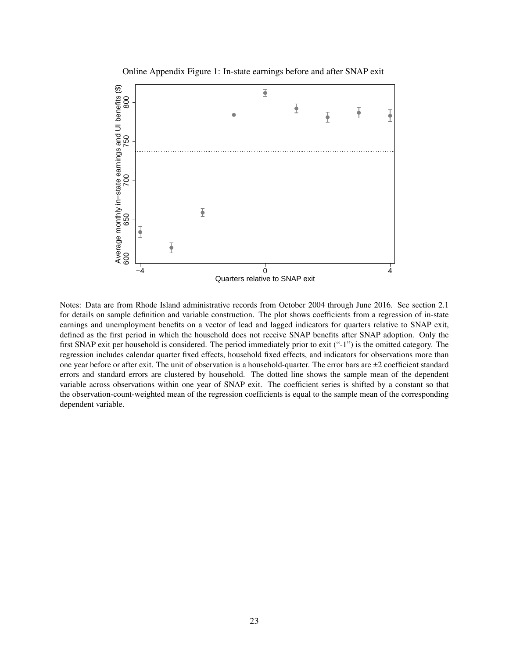<span id="page-22-0"></span>Online Appendix Figure 1: In-state earnings before and after SNAP exit



Notes: Data are from Rhode Island administrative records from October 2004 through June 2016. See section 2.1 for details on sample definition and variable construction. The plot shows coefficients from a regression of in-state earnings and unemployment benefits on a vector of lead and lagged indicators for quarters relative to SNAP exit, defined as the first period in which the household does not receive SNAP benefits after SNAP adoption. Only the first SNAP exit per household is considered. The period immediately prior to exit ("-1") is the omitted category. The regression includes calendar quarter fixed effects, household fixed effects, and indicators for observations more than one year before or after exit. The unit of observation is a household-quarter. The error bars are  $\pm 2$  coefficient standard errors and standard errors are clustered by household. The dotted line shows the sample mean of the dependent variable across observations within one year of SNAP exit. The coefficient series is shifted by a constant so that the observation-count-weighted mean of the regression coefficients is equal to the sample mean of the corresponding dependent variable.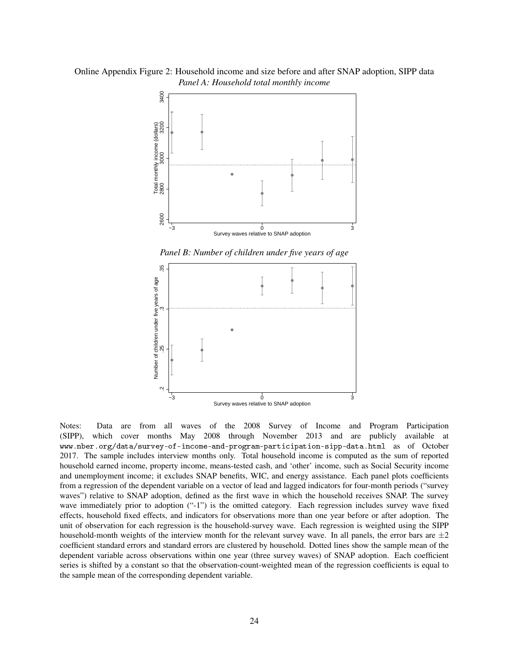Online Appendix Figure 2: Household income and size before and after SNAP adoption, SIPP data *Panel A: Household total monthly income*

<span id="page-23-0"></span>

*Panel B: Number of children under five years of age*



Notes: Data are from all waves of the 2008 Survey of Income and Program Participation (SIPP), which cover months May 2008 through November 2013 and are publicly available at www.nber.org/data/survey-of-income-and-program-participation-sipp-data.html as of October 2017. The sample includes interview months only. Total household income is computed as the sum of reported household earned income, property income, means-tested cash, and 'other' income, such as Social Security income and unemployment income; it excludes SNAP benefits, WIC, and energy assistance. Each panel plots coefficients from a regression of the dependent variable on a vector of lead and lagged indicators for four-month periods ("survey waves") relative to SNAP adoption, defined as the first wave in which the household receives SNAP. The survey wave immediately prior to adoption ("-1") is the omitted category. Each regression includes survey wave fixed effects, household fixed effects, and indicators for observations more than one year before or after adoption. The unit of observation for each regression is the household-survey wave. Each regression is weighted using the SIPP household-month weights of the interview month for the relevant survey wave. In all panels, the error bars are  $\pm 2$ coefficient standard errors and standard errors are clustered by household. Dotted lines show the sample mean of the dependent variable across observations within one year (three survey waves) of SNAP adoption. Each coefficient series is shifted by a constant so that the observation-count-weighted mean of the regression coefficients is equal to the sample mean of the corresponding dependent variable.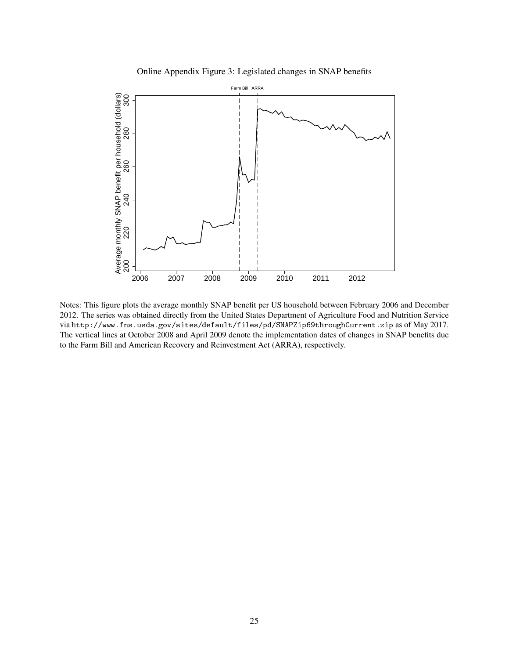<span id="page-24-0"></span>Online Appendix Figure 3: Legislated changes in SNAP benefits



Notes: This figure plots the average monthly SNAP benefit per US household between February 2006 and December 2012. The series was obtained directly from the United States Department of Agriculture Food and Nutrition Service via http://www.fns.usda.gov/sites/default/files/pd/SNAPZip69throughCurrent.zip as of May 2017. The vertical lines at October 2008 and April 2009 denote the implementation dates of changes in SNAP benefits due to the Farm Bill and American Recovery and Reinvestment Act (ARRA), respectively.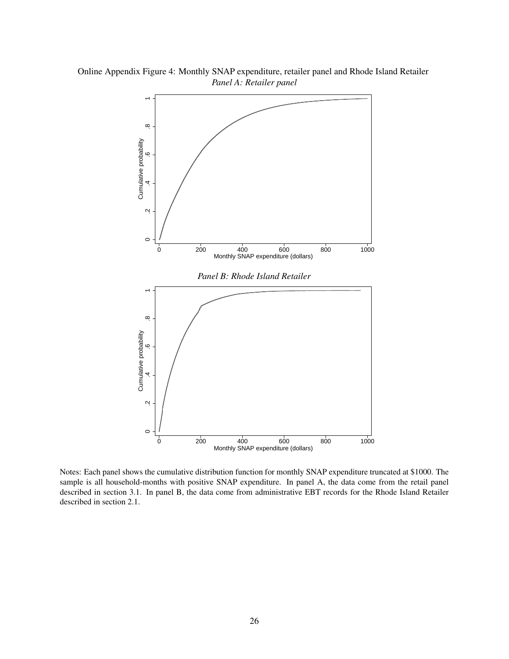<span id="page-25-0"></span>

Online Appendix Figure 4: Monthly SNAP expenditure, retailer panel and Rhode Island Retailer *Panel A: Retailer panel*

Notes: Each panel shows the cumulative distribution function for monthly SNAP expenditure truncated at \$1000. The sample is all household-months with positive SNAP expenditure. In panel A, the data come from the retail panel described in section 3.1. In panel B, the data come from administrative EBT records for the Rhode Island Retailer described in section 2.1.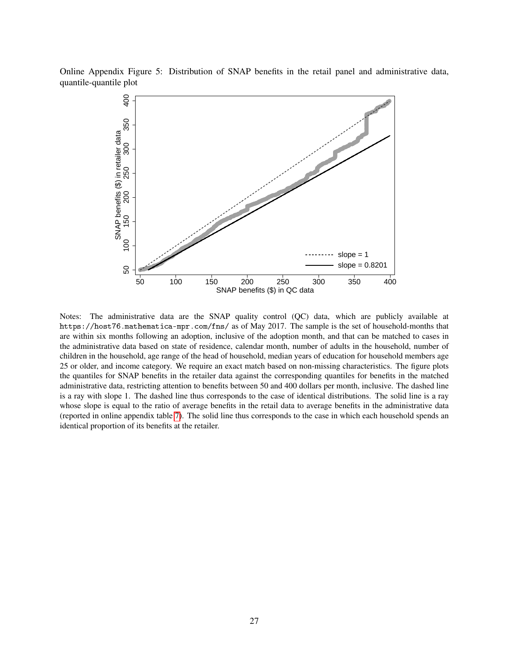Online Appendix Figure 5: Distribution of SNAP benefits in the retail panel and administrative data, quantile-quantile plot

<span id="page-26-0"></span>

Notes: The administrative data are the SNAP quality control (QC) data, which are publicly available at https://host76.mathematica-mpr.com/fns/ as of May 2017. The sample is the set of household-months that are within six months following an adoption, inclusive of the adoption month, and that can be matched to cases in the administrative data based on state of residence, calendar month, number of adults in the household, number of children in the household, age range of the head of household, median years of education for household members age 25 or older, and income category. We require an exact match based on non-missing characteristics. The figure plots the quantiles for SNAP benefits in the retailer data against the corresponding quantiles for benefits in the matched administrative data, restricting attention to benefits between 50 and 400 dollars per month, inclusive. The dashed line is a ray with slope 1. The dashed line thus corresponds to the case of identical distributions. The solid line is a ray whose slope is equal to the ratio of average benefits in the retail data to average benefits in the administrative data (reported in online appendix table [7\)](#page-9-0). The solid line thus corresponds to the case in which each household spends an identical proportion of its benefits at the retailer.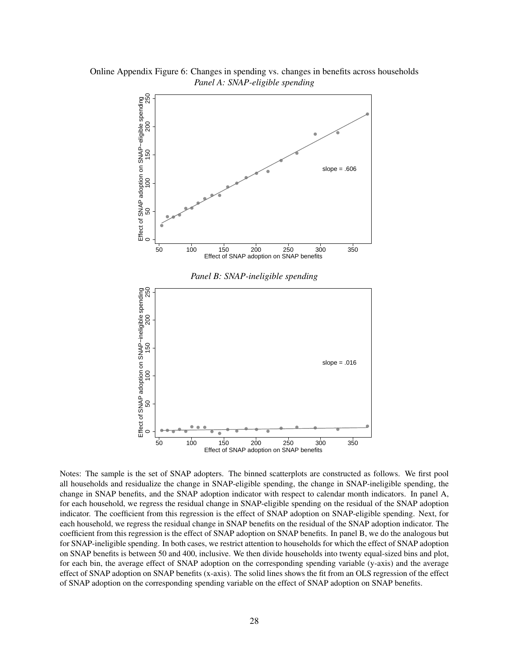<span id="page-27-0"></span>

Online Appendix Figure 6: Changes in spending vs. changes in benefits across households *Panel A: SNAP-eligible spending*

Notes: The sample is the set of SNAP adopters. The binned scatterplots are constructed as follows. We first pool all households and residualize the change in SNAP-eligible spending, the change in SNAP-ineligible spending, the change in SNAP benefits, and the SNAP adoption indicator with respect to calendar month indicators. In panel A, for each household, we regress the residual change in SNAP-eligible spending on the residual of the SNAP adoption indicator. The coefficient from this regression is the effect of SNAP adoption on SNAP-eligible spending. Next, for each household, we regress the residual change in SNAP benefits on the residual of the SNAP adoption indicator. The coefficient from this regression is the effect of SNAP adoption on SNAP benefits. In panel B, we do the analogous but for SNAP-ineligible spending. In both cases, we restrict attention to households for which the effect of SNAP adoption on SNAP benefits is between 50 and 400, inclusive. We then divide households into twenty equal-sized bins and plot, for each bin, the average effect of SNAP adoption on the corresponding spending variable (y-axis) and the average effect of SNAP adoption on SNAP benefits (x-axis). The solid lines shows the fit from an OLS regression of the effect of SNAP adoption on the corresponding spending variable on the effect of SNAP adoption on SNAP benefits.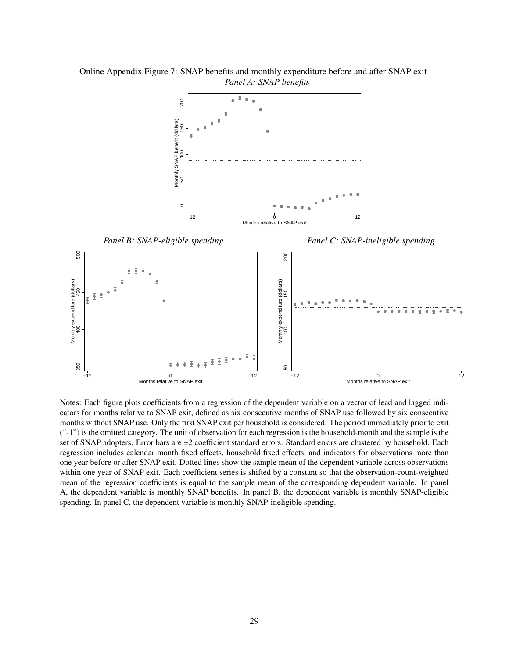

<span id="page-28-0"></span>Online Appendix Figure 7: SNAP benefits and monthly expenditure before and after SNAP exit *Panel A: SNAP benefits*

Notes: Each figure plots coefficients from a regression of the dependent variable on a vector of lead and lagged indicators for months relative to SNAP exit, defined as six consecutive months of SNAP use followed by six consecutive months without SNAP use. Only the first SNAP exit per household is considered. The period immediately prior to exit ("-1") is the omitted category. The unit of observation for each regression is the household-month and the sample is the set of SNAP adopters. Error bars are  $\pm 2$  coefficient standard errors. Standard errors are clustered by household. Each regression includes calendar month fixed effects, household fixed effects, and indicators for observations more than one year before or after SNAP exit. Dotted lines show the sample mean of the dependent variable across observations within one year of SNAP exit. Each coefficient series is shifted by a constant so that the observation-count-weighted mean of the regression coefficients is equal to the sample mean of the corresponding dependent variable. In panel A, the dependent variable is monthly SNAP benefits. In panel B, the dependent variable is monthly SNAP-eligible spending. In panel C, the dependent variable is monthly SNAP-ineligible spending.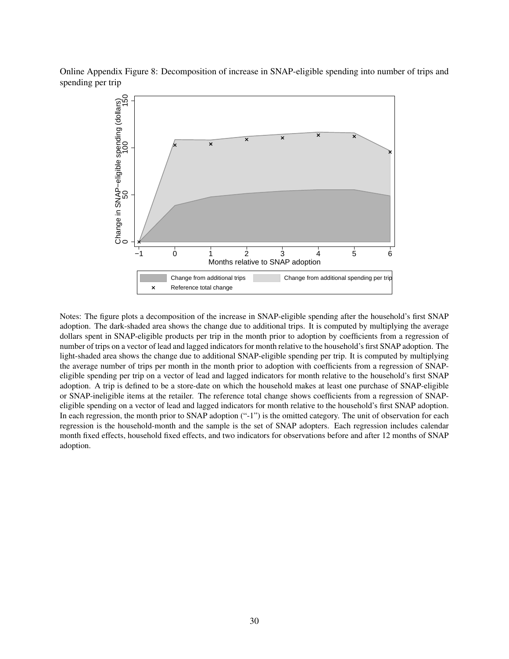Online Appendix Figure 8: Decomposition of increase in SNAP-eligible spending into number of trips and spending per trip

<span id="page-29-0"></span>

Notes: The figure plots a decomposition of the increase in SNAP-eligible spending after the household's first SNAP adoption. The dark-shaded area shows the change due to additional trips. It is computed by multiplying the average dollars spent in SNAP-eligible products per trip in the month prior to adoption by coefficients from a regression of number of trips on a vector of lead and lagged indicators for month relative to the household's first SNAP adoption. The light-shaded area shows the change due to additional SNAP-eligible spending per trip. It is computed by multiplying the average number of trips per month in the month prior to adoption with coefficients from a regression of SNAPeligible spending per trip on a vector of lead and lagged indicators for month relative to the household's first SNAP adoption. A trip is defined to be a store-date on which the household makes at least one purchase of SNAP-eligible or SNAP-ineligible items at the retailer. The reference total change shows coefficients from a regression of SNAPeligible spending on a vector of lead and lagged indicators for month relative to the household's first SNAP adoption. In each regression, the month prior to SNAP adoption ("-1") is the omitted category. The unit of observation for each regression is the household-month and the sample is the set of SNAP adopters. Each regression includes calendar month fixed effects, household fixed effects, and two indicators for observations before and after 12 months of SNAP adoption.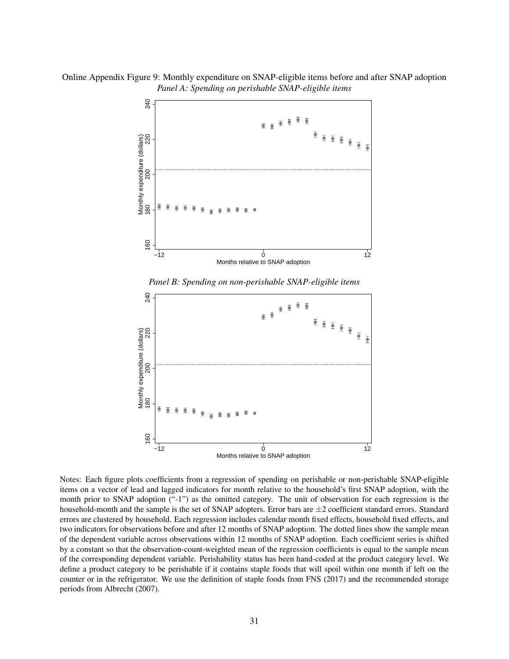Online Appendix Figure 9: Monthly expenditure on SNAP-eligible items before and after SNAP adoption *Panel A: Spending on perishable SNAP-eligible items*

<span id="page-30-0"></span>

*Panel B: Spending on non-perishable SNAP-eligible items*



Notes: Each figure plots coefficients from a regression of spending on perishable or non-perishable SNAP-eligible items on a vector of lead and lagged indicators for month relative to the household's first SNAP adoption, with the month prior to SNAP adoption ("-1") as the omitted category. The unit of observation for each regression is the household-month and the sample is the set of SNAP adopters. Error bars are  $\pm 2$  coefficient standard errors. Standard errors are clustered by household. Each regression includes calendar month fixed effects, household fixed effects, and two indicators for observations before and after 12 months of SNAP adoption. The dotted lines show the sample mean of the dependent variable across observations within 12 months of SNAP adoption. Each coefficient series is shifted by a constant so that the observation-count-weighted mean of the regression coefficients is equal to the sample mean of the corresponding dependent variable. Perishability status has been hand-coded at the product category level. We define a product category to be perishable if it contains staple foods that will spoil within one month if left on the counter or in the refrigerator. We use the definition of staple foods from FNS (2017) and the recommended storage periods from Albrecht (2007).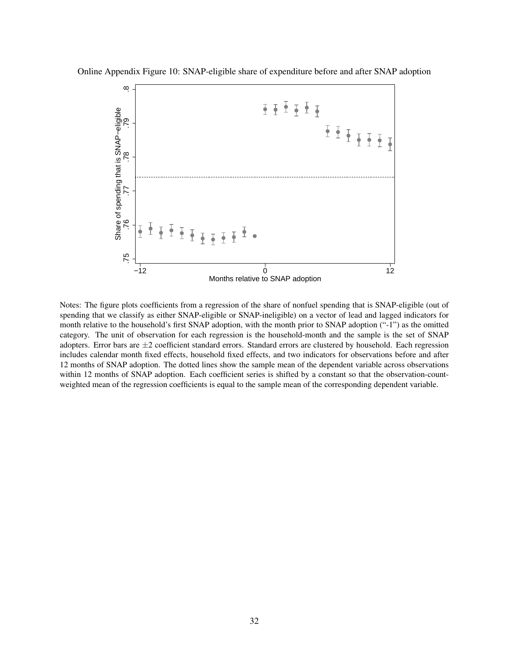<span id="page-31-0"></span>

Online Appendix Figure 10: SNAP-eligible share of expenditure before and after SNAP adoption

Notes: The figure plots coefficients from a regression of the share of nonfuel spending that is SNAP-eligible (out of spending that we classify as either SNAP-eligible or SNAP-ineligible) on a vector of lead and lagged indicators for month relative to the household's first SNAP adoption, with the month prior to SNAP adoption ("-1") as the omitted category. The unit of observation for each regression is the household-month and the sample is the set of SNAP adopters. Error bars are  $\pm 2$  coefficient standard errors. Standard errors are clustered by household. Each regression includes calendar month fixed effects, household fixed effects, and two indicators for observations before and after 12 months of SNAP adoption. The dotted lines show the sample mean of the dependent variable across observations within 12 months of SNAP adoption. Each coefficient series is shifted by a constant so that the observation-countweighted mean of the regression coefficients is equal to the sample mean of the corresponding dependent variable.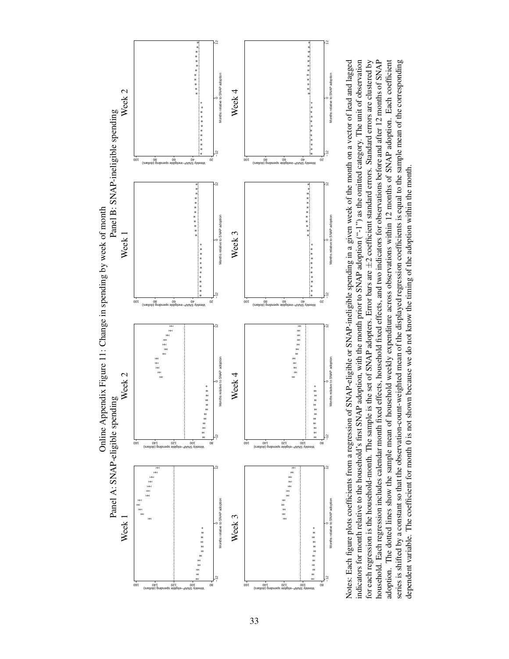<span id="page-32-0"></span>

for each regression is the household-month. The sample is the set of SNAP adopters. Error bars are ±2 coefficient standard errors. Standard errors are clustered by household. Each regression includes calendar month fixed effects, household fixed effects, and two indicators for observations before and after 12 months of SNAP Notes: Each figure plots coefficients from a regression of SNAP-eligible or SNAP-ineligible spending in a given week of the month on a vector of lead and lagged indicators for month relative to the household's first SNAP adoption, with the month prior to SNAP adoption  $(1^n)$  as the omitted category. The unit of observation adoption. The dotted lines show the sample mean of household weekly expenditure across observations within 12 months of SNAP adoption. Each coefficient series is shifted by a constant so that the observation-count-weighted mean of the displayed regression coefficients is equal to the sample mean of the corresponding Notes: Each figure plots coefficients from a regression of SNAP-eligible or SNAP-ineligible spending in a given week of the month on a vector of lead and lagged indicators for month relative to the household's first SNAP adoption, with the month prior to SNAP adoption ("-1") as the omitted category. The unit of observation for each regression is the household-month. The sample is the set of SNAP adopters. Error bars are ±2 coefficient standard errors. Standard errors are clustered by household. Each regression includes calendar month fixed effects, household fixed effects, and two indicators for observations before and after 12 months of SNAP adoption. The dotted lines show the sample mean of household weekly expenditure across observations within 12 months of SNAP adoption. Each coefficient series is shifted by a constant so that the observation-count-weighted mean of the displayed regression coefficients is equal to the sample mean of the corresponding dependent variable. The coefficient for month 0 is not shown because we do not know the timing of the adoption within the month. dependent variable. The coefficient for month 0 is not shown because we do not know the timing of the adoption within the month.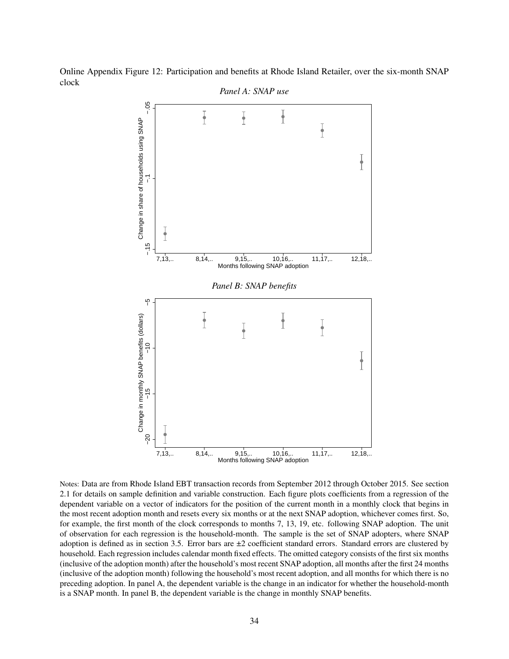

<span id="page-33-0"></span>

Notes: Data are from Rhode Island EBT transaction records from September 2012 through October 2015. See section 2.1 for details on sample definition and variable construction. Each figure plots coefficients from a regression of the dependent variable on a vector of indicators for the position of the current month in a monthly clock that begins in the most recent adoption month and resets every six months or at the next SNAP adoption, whichever comes first. So, for example, the first month of the clock corresponds to months 7, 13, 19, etc. following SNAP adoption. The unit of observation for each regression is the household-month. The sample is the set of SNAP adopters, where SNAP adoption is defined as in section 3.5. Error bars are ±2 coefficient standard errors. Standard errors are clustered by household. Each regression includes calendar month fixed effects. The omitted category consists of the first six months (inclusive of the adoption month) after the household's most recent SNAP adoption, all months after the first 24 months (inclusive of the adoption month) following the household's most recent adoption, and all months for which there is no preceding adoption. In panel A, the dependent variable is the change in an indicator for whether the household-month is a SNAP month. In panel B, the dependent variable is the change in monthly SNAP benefits.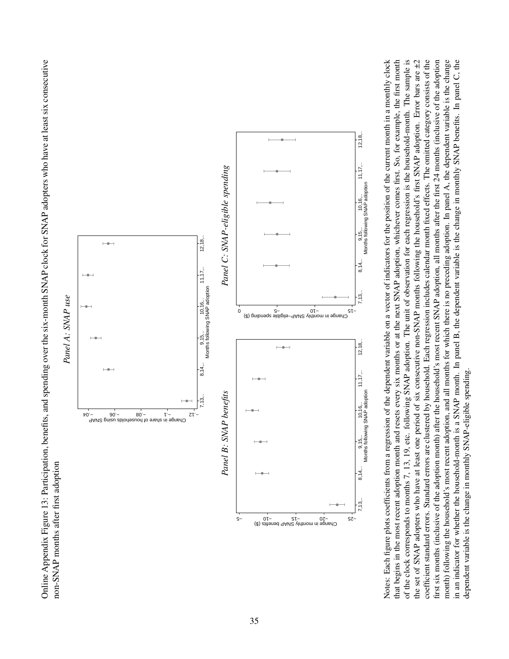<span id="page-34-0"></span>Online Appendix Figure 13: Participation, benefits, and spending over the six-month SNAP clock for SNAP adopters who have at least six consecutive Online Appendix Figure 13: Participation, benefits, and spending over the six-month SNAP clock for SNAP adopters who have at least six consecutive non-SNAP months after first adoption non-SNAP months after first adoption



of the clock corresponds to months 7, 13, 19, etc. following SNAP adoption. The unit of observation for each regression is the household-month. The sample is coefficient standard errors. Standard errors are clustered by household. Each regression includes calendar month fixed effects. The omitted category consists of the first six months (inclusive of the adoption month) after the household's most recent SNAP adoption, all months after the first 24 months (inclusive of the adoption month) following the household's most recent adoption, and all months for which there is no preceding adoption. In panel A, the dependent variable is the change in an indicator for whether the household-month is a SNAP month. In panel B, the dependent variable is the change in monthly SNAP benefits. In panel C, the Notes: Each figure plots coefficients from a regression of the dependent variable on a vector of indicators for the position of the current month in a monthly clock that begins in the most recent adoption month and resets every six months or at the next SNAP adoption, whichever comes first. So, for example, the first month of the clock corresponds to months 7, 13, 19, etc. following SNAP adoption. The unit of observation for each regression is the household-month. The sample is the set of SNAP adopters who have at least one period of six consecutive non-SNAP months following the household's first SNAP adoption. Error bars are ±2 Notes: Each figure plots coefficients from a regression of the dependent variable on a vector of indicators for the position of the current month in a monthly clock that begins in the most recent adoption month and resets every six months or at the next SNAP adoption, whichever comes first. So, for example, the first month the set of SNAP adopters who have at least one period of six consecutive non-SNAP months following the household's first SNAP adoption. Error bars are ±2 coefficient standard errors. Standard errors are clustered by household. Each regression includes calendar month fixed effects. The omitted category consists of the first six months (inclusive of the adoption month) after the household's most recent SNAP adoption, all months after the first 24 months (inclusive of the adoption month) following the household's most recent adoption, and all months for which there is no preceding adoption. In panel A, the dependent variable is the change in an indicator for whether the household-month is a SNAP month. In panel B, the dependent variable is the change in monthly SNAP benefits. In panel C, the dependent variable is the change in monthly SNAP-eligible spending. dependent variable is the change in monthly SNAP-eligible spending.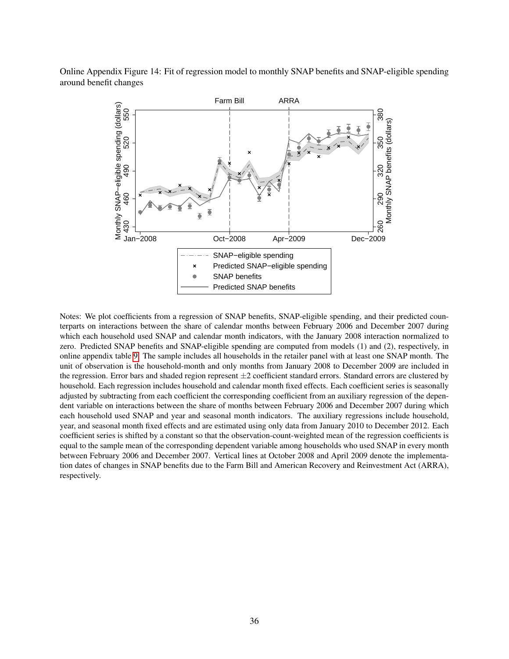Online Appendix Figure 14: Fit of regression model to monthly SNAP benefits and SNAP-eligible spending around benefit changes

<span id="page-35-0"></span>

Notes: We plot coefficients from a regression of SNAP benefits, SNAP-eligible spending, and their predicted counterparts on interactions between the share of calendar months between February 2006 and December 2007 during which each household used SNAP and calendar month indicators, with the January 2008 interaction normalized to zero. Predicted SNAP benefits and SNAP-eligible spending are computed from models (1) and (2), respectively, in online appendix table [9.](#page-11-0) The sample includes all households in the retailer panel with at least one SNAP month. The unit of observation is the household-month and only months from January 2008 to December 2009 are included in the regression. Error bars and shaded region represent  $\pm 2$  coefficient standard errors. Standard errors are clustered by household. Each regression includes household and calendar month fixed effects. Each coefficient series is seasonally adjusted by subtracting from each coefficient the corresponding coefficient from an auxiliary regression of the dependent variable on interactions between the share of months between February 2006 and December 2007 during which each household used SNAP and year and seasonal month indicators. The auxiliary regressions include household, year, and seasonal month fixed effects and are estimated using only data from January 2010 to December 2012. Each coefficient series is shifted by a constant so that the observation-count-weighted mean of the regression coefficients is equal to the sample mean of the corresponding dependent variable among households who used SNAP in every month between February 2006 and December 2007. Vertical lines at October 2008 and April 2009 denote the implementation dates of changes in SNAP benefits due to the Farm Bill and American Recovery and Reinvestment Act (ARRA), respectively.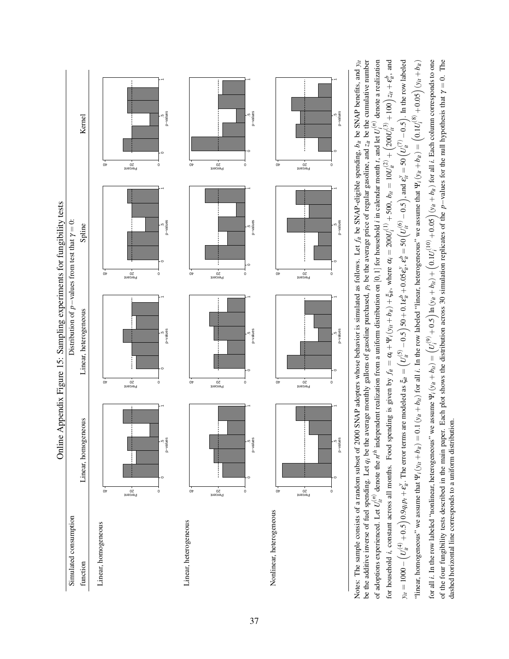<span id="page-36-0"></span>

Notes: The sample consists of a random subset of 2000 SNAP adopters whose behavior is simulated as follows. Let  $f_i$  be SNAP-eligible spending,  $b_i$  be SNAP benefits, and  $y_{ii}$ be the additive inverse of fuel spending. Let  $q_i$  be the average monthly gallons of gasoline purchased,  $p_i$  be the average price of regular gasoline, and  $z_i$  be the cumulative number of adoptions experienced. Let  $U_{it}^{(n)}$  denote the  $n^{th}$  independent realization from a uniform distribution on [0, 1] for household *i* in calendar month *t*, and let  $U_i^{(n)}$  denote a realization for household *i*, constant across all months. Food spending is given by  $f_{it} = \alpha_i + \Psi_i(y_{it} + b_{it}) + \xi_{it}$ , where  $\alpha_i = 200U_i^{(1)} + 500$ ,  $b_{it} = 10U_{it}^{(2)} + (200U_{it}^{(3)} + 100)z_{it} + \varepsilon_{it}^{b}$ , and for all *i*. In the row labeled "nonlinear, heterogeneous" we assume  $\Psi_i(y_{it} + b_{ti}) = (U_i^{(9)} + 0.5) \ln(y_{it} + b_{it}) + (0.1U_i^{(10)} + 0.05) (y_{it} + b_{it})$  for all *i*. Each column corresponds to one of the four fungibility tests described in the main paper. Each plot shows the distribution across 30 simulation replicates of the  $p$ -values for the null hypothesis that  $\gamma = 0$ . The  $y_{it} = 1000 - (U_{it}^{(4)} + 0.5)0.9$   $q_{i}p_{t} + \varepsilon_{it}^{3}$ . The error terms are modeled as  $\xi_{it} = (U_{it}^{(5)} - 0.5)50 + 0.1\varepsilon_{it}^{6} + 0.05\varepsilon_{it}^{2}$ ,  $\varepsilon_{it}^{6} = 50(U_{it}^{(6)} - 0.5)$ , and  $\varepsilon_{it}^{2} = 50(U_{it}^{(7)} - 0.5)$ . In the row la "linear, homogeneous" we assume that  $\Psi_i(y_{it} + b_{ti}) = 0.1(y_{it} + b_{ti})$  for all *i*. In the row labeled "linear, heterogeneous" we assume that  $\Psi_i(y_{it} + b_{ti}) = (0.1U_i^{(8)} + 0.05)(y_{it} + b_{ti})$ Notes: The sample consists of a random subset of 2000 SNAP adopters whose behavior is simulated as follows. Let *fit* be SNAP-eligible spending, *bit* be SNAP benefits, and *yit* be the additive inverse of fuel spending. Let *qi* be the average monthly gallons of gasoline purchased, *pt* be the average price of regular gasoline, and *zit* be the cumulative number of adoptions experienced. Let  $U_{ii}^{(n)}$  denote the  $n^{th}$  independent realization from a uniform distribution on [0, 1] for household *i* in calendar month *t*, and let  $U_i^{(n)}$  denote a realization for household *i*, constant across all months. Food spending is given by  $f_{it} = \alpha_i + \Psi_i(y_{it} + b_{it}) + \xi_{it}$ , where  $\alpha_i = 200U_i^{(1)} + 500$ ,  $b_{it} = 10U_{it}^{(2)} + (200U_{it}^{(3)} + 100)z_{it} + \varepsilon_{it}^{b}$ , and  $y_{it} = 1000 - (U_{it}^{(4)} + 0.5)0.9q_{i}p_{i} + \varepsilon_{it}^{3}$ . The error terms are modeled as  $\xi_{it} = (U_{it}^{(5)} - 0.5)50 + 0.1\varepsilon_{it}^{b} + 0.05\varepsilon_{it}^{2}, \varepsilon_{it}^{b} = 50 (U_{it}^{(6)} - 0.5)$ , and  $\varepsilon_{it}^{2} = 50 (U_{it}^{(7)} - 0.5)$ . In the row labele "linear, homogeneous" we assume that  $\Psi_t(y_{it} + b_{it}) = 0.1(y_{it} + b_{it})$  for all *i*. In the row labeled "linear, heterogeneous" we assume that  $\Psi_t(y_{it} + b_{it}) = (0.1U_t^{(8)} + 0.05)(y_{it} + b_{it})$ for all *i*. In the row labeled "nonlinear, heterogeneous" we assume  $\Psi_i(y_{it} + b_{ti}) = (U_i^{(9)} + 0.5) \ln(y_{it} + b_{ti}) + (0.1U_i^{(10)} + 0.05) (y_{it} + b_{ti})$  for all *i*. Each column corresponds to one of the four fungibility tests described in the main paper. Each plot shows the distribution across 30 simulation replicates of the *p*−values for the null hypothesis that γ = 0. The dashed horizontal line corresponds to a uniform distribution. dashed horizontal line corresponds to a uniform distribution.